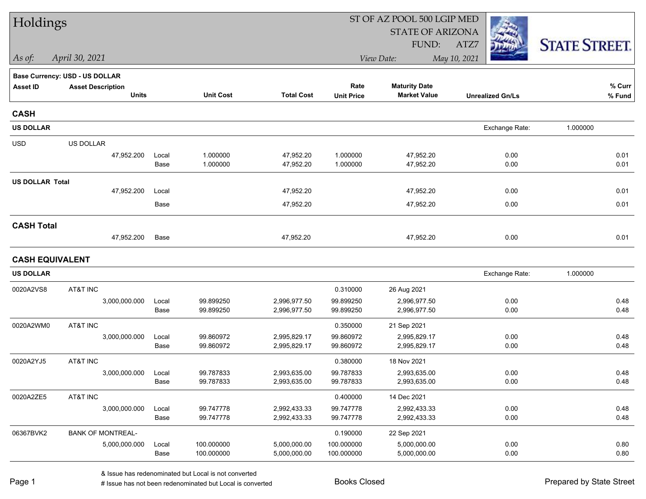| Holdings               |                                       |               |                          |                              | ST OF AZ POOL 500 LGIP MED |                              |                         |                      |
|------------------------|---------------------------------------|---------------|--------------------------|------------------------------|----------------------------|------------------------------|-------------------------|----------------------|
|                        |                                       |               |                          |                              |                            | <b>STATE OF ARIZONA</b>      |                         |                      |
|                        |                                       |               |                          |                              |                            | FUND:                        | ATZ7                    | <b>STATE STREET.</b> |
| As of:                 | April 30, 2021                        |               |                          |                              |                            | View Date:                   | May 10, 2021            |                      |
|                        | <b>Base Currency: USD - US DOLLAR</b> |               |                          |                              |                            |                              |                         |                      |
| <b>Asset ID</b>        | <b>Asset Description</b>              |               |                          |                              | Rate                       | <b>Maturity Date</b>         |                         | % Curr               |
|                        | <b>Units</b>                          |               | <b>Unit Cost</b>         | <b>Total Cost</b>            | <b>Unit Price</b>          | <b>Market Value</b>          | <b>Unrealized Gn/Ls</b> | % Fund               |
| <b>CASH</b>            |                                       |               |                          |                              |                            |                              |                         |                      |
| <b>US DOLLAR</b>       |                                       |               |                          |                              |                            |                              | Exchange Rate:          | 1.000000             |
| <b>USD</b>             | US DOLLAR                             |               |                          |                              |                            |                              |                         |                      |
|                        | 47,952.200                            | Local         | 1.000000                 | 47,952.20                    | 1.000000                   | 47,952.20                    | 0.00                    | 0.01                 |
|                        |                                       | Base          | 1.000000                 | 47,952.20                    | 1.000000                   | 47,952.20                    | 0.00                    | 0.01                 |
| <b>US DOLLAR Total</b> |                                       |               |                          |                              |                            |                              |                         |                      |
|                        | 47,952.200                            | Local         |                          | 47,952.20                    |                            | 47,952.20                    | 0.00                    | 0.01                 |
|                        |                                       | Base          |                          | 47,952.20                    |                            | 47,952.20                    | 0.00                    | 0.01                 |
| <b>CASH Total</b>      |                                       |               |                          |                              |                            |                              |                         |                      |
|                        | 47,952.200                            | Base          |                          | 47,952.20                    |                            | 47,952.20                    | 0.00                    | 0.01                 |
| <b>CASH EQUIVALENT</b> |                                       |               |                          |                              |                            |                              |                         |                      |
| <b>US DOLLAR</b>       |                                       |               |                          |                              |                            |                              | Exchange Rate:          | 1.000000             |
| 0020A2VS8              | AT&T INC                              |               |                          |                              | 0.310000                   | 26 Aug 2021                  |                         |                      |
|                        | 3,000,000.000                         | Local         | 99.899250                | 2,996,977.50                 | 99.899250                  | 2,996,977.50                 | 0.00                    | 0.48                 |
|                        |                                       | Base          | 99.899250                | 2,996,977.50                 | 99.899250                  | 2,996,977.50                 | 0.00                    | 0.48                 |
| 0020A2WM0              | AT&T INC                              |               |                          |                              | 0.350000                   | 21 Sep 2021                  |                         |                      |
|                        | 3,000,000.000                         | Local         | 99.860972                | 2,995,829.17                 | 99.860972                  | 2,995,829.17                 | 0.00                    | 0.48                 |
|                        |                                       | Base          | 99.860972                | 2,995,829.17                 | 99.860972                  | 2,995,829.17                 | 0.00                    | 0.48                 |
| 0020A2YJ5              | AT&T INC                              |               |                          |                              | 0.380000                   | 18 Nov 2021                  |                         |                      |
|                        | 3,000,000.000                         | Local         | 99.787833                | 2,993,635.00                 | 99.787833                  | 2,993,635.00                 | 0.00                    | 0.48                 |
|                        |                                       | Base          | 99.787833                | 2,993,635.00                 | 99.787833                  | 2,993,635.00                 | 0.00                    | 0.48                 |
| 0020A2ZE5              | AT&T INC                              |               |                          |                              | 0.400000                   | 14 Dec 2021                  |                         |                      |
|                        | 3,000,000.000                         | Local<br>Base | 99.747778<br>99.747778   | 2,992,433.33<br>2,992,433.33 | 99.747778<br>99.747778     | 2,992,433.33<br>2,992,433.33 | 0.00<br>0.00            | 0.48<br>0.48         |
|                        |                                       |               |                          |                              |                            |                              |                         |                      |
| 06367BVK2              | <b>BANK OF MONTREAL-</b>              |               |                          |                              | 0.190000                   | 22 Sep 2021                  |                         |                      |
|                        | 5,000,000.000                         | Local<br>Base | 100.000000<br>100.000000 | 5,000,000.00<br>5,000,000.00 | 100.000000<br>100.000000   | 5,000,000.00<br>5,000,000.00 | 0.00<br>0.00            | 0.80<br>0.80         |
|                        |                                       |               |                          |                              |                            |                              |                         |                      |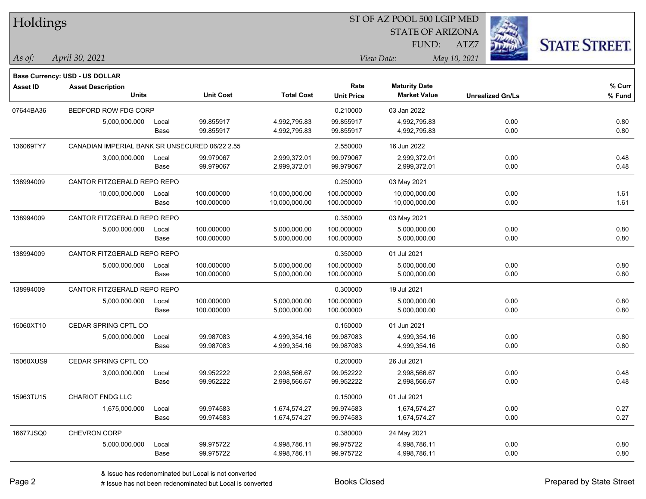| Holdings        |                                                |       |                  |                   |                   | 51 OF AZ POOL 500 LGIP MED |                         |                      |
|-----------------|------------------------------------------------|-------|------------------|-------------------|-------------------|----------------------------|-------------------------|----------------------|
|                 |                                                |       |                  |                   |                   | <b>STATE OF ARIZONA</b>    |                         |                      |
|                 |                                                |       |                  |                   |                   | FUND:                      | ATZ7                    | <b>STATE STREET.</b> |
| $As$ of:        | April 30, 2021                                 |       |                  |                   |                   | View Date:                 | May 10, 2021            |                      |
|                 | Base Currency: USD - US DOLLAR                 |       |                  |                   |                   |                            |                         |                      |
| <b>Asset ID</b> | <b>Asset Description</b>                       |       |                  |                   | Rate              | <b>Maturity Date</b>       |                         | % Curr               |
|                 | <b>Units</b>                                   |       | <b>Unit Cost</b> | <b>Total Cost</b> | <b>Unit Price</b> | <b>Market Value</b>        | <b>Unrealized Gn/Ls</b> | % Fund               |
| 07644BA36       | BEDFORD ROW FDG CORP                           |       |                  |                   | 0.210000          | 03 Jan 2022                |                         |                      |
|                 | 5,000,000.000                                  | Local | 99.855917        | 4,992,795.83      | 99.855917         | 4,992,795.83               | 0.00                    | 0.80                 |
|                 |                                                | Base  | 99.855917        | 4,992,795.83      | 99.855917         | 4,992,795.83               | 0.00                    | 0.80                 |
| 136069TY7       | CANADIAN IMPERIAL BANK SR UNSECURED 06/22 2.55 |       |                  |                   | 2.550000          | 16 Jun 2022                |                         |                      |
|                 | 3,000,000.000                                  | Local | 99.979067        | 2,999,372.01      | 99.979067         | 2,999,372.01               | 0.00                    | 0.48                 |
|                 |                                                | Base  | 99.979067        | 2,999,372.01      | 99.979067         | 2,999,372.01               | 0.00                    | 0.48                 |
| 138994009       | CANTOR FITZGERALD REPO REPO                    |       |                  |                   | 0.250000          | 03 May 2021                |                         |                      |
|                 | 10,000,000.000                                 | Local | 100.000000       | 10,000,000.00     | 100.000000        | 10,000,000.00              | 0.00                    | 1.61                 |
|                 |                                                | Base  | 100.000000       | 10,000,000.00     | 100.000000        | 10,000,000.00              | 0.00                    | 1.61                 |
| 138994009       | CANTOR FITZGERALD REPO REPO                    |       |                  |                   | 0.350000          | 03 May 2021                |                         |                      |
|                 | 5,000,000.000                                  | Local | 100.000000       | 5,000,000.00      | 100.000000        | 5,000,000.00               | 0.00                    | 0.80                 |
|                 |                                                | Base  | 100.000000       | 5,000,000.00      | 100.000000        | 5,000,000.00               | 0.00                    | 0.80                 |
| 138994009       | CANTOR FITZGERALD REPO REPO                    |       |                  |                   | 0.350000          | 01 Jul 2021                |                         |                      |
|                 | 5,000,000.000                                  | Local | 100.000000       | 5,000,000.00      | 100.000000        | 5,000,000.00               | 0.00                    | 0.80                 |
|                 |                                                | Base  | 100.000000       | 5,000,000.00      | 100.000000        | 5,000,000.00               | 0.00                    | 0.80                 |
| 138994009       | CANTOR FITZGERALD REPO REPO                    |       |                  |                   | 0.300000          | 19 Jul 2021                |                         |                      |
|                 | 5,000,000.000                                  | Local | 100.000000       | 5,000,000.00      | 100.000000        | 5,000,000.00               | 0.00                    | 0.80                 |
|                 |                                                | Base  | 100.000000       | 5,000,000.00      | 100.000000        | 5,000,000.00               | 0.00                    | 0.80                 |
| 15060XT10       | CEDAR SPRING CPTL CO                           |       |                  |                   | 0.150000          | 01 Jun 2021                |                         |                      |
|                 | 5,000,000.000                                  | Local | 99.987083        | 4,999,354.16      | 99.987083         | 4,999,354.16               | 0.00                    | 0.80                 |
|                 |                                                | Base  | 99.987083        | 4,999,354.16      | 99.987083         | 4,999,354.16               | 0.00                    | 0.80                 |
| 15060XUS9       | CEDAR SPRING CPTL CO                           |       |                  |                   | 0.200000          | 26 Jul 2021                |                         |                      |
|                 | 3,000,000.000                                  | Local | 99.952222        | 2,998,566.67      | 99.952222         | 2,998,566.67               | 0.00                    | 0.48                 |
|                 |                                                | Base  | 99.952222        | 2,998,566.67      | 99.952222         | 2,998,566.67               | 0.00                    | 0.48                 |
| 15963TU15       | <b>CHARIOT FNDG LLC</b>                        |       |                  |                   | 0.150000          | 01 Jul 2021                |                         |                      |
|                 | 1,675,000.000                                  | Local | 99.974583        | 1,674,574.27      | 99.974583         | 1,674,574.27               | 0.00                    | 0.27                 |
|                 |                                                | Base  | 99.974583        | 1,674,574.27      | 99.974583         | 1,674,574.27               | 0.00                    | 0.27                 |
| 16677JSQ0       | CHEVRON CORP                                   |       |                  |                   | 0.380000          | 24 May 2021                |                         |                      |
|                 | 5,000,000.000                                  | Local | 99.975722        | 4,998,786.11      | 99.975722         | 4,998,786.11               | 0.00                    | 0.80                 |
|                 |                                                | Base  | 99.975722        | 4,998,786.11      | 99.975722         | 4,998,786.11               | 0.00                    | 0.80                 |

 $STOT$   $BT A Z DOQI$  500 LGIP MED

٦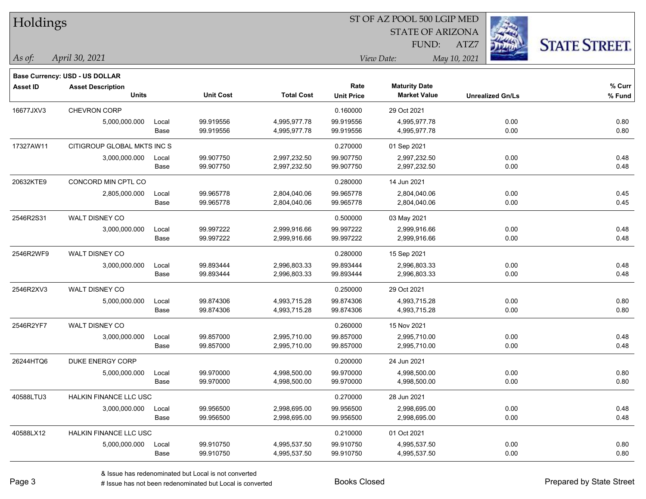| Holdings        |                                       |       |                  |                   |                   | ST OF AZ POOL 500 LGIP MED |                         |                      |
|-----------------|---------------------------------------|-------|------------------|-------------------|-------------------|----------------------------|-------------------------|----------------------|
|                 |                                       |       |                  |                   |                   | <b>STATE OF ARIZONA</b>    |                         |                      |
|                 |                                       |       |                  |                   |                   | FUND:                      | ATZ7                    | <b>STATE STREET.</b> |
| As of:          | April 30, 2021                        |       |                  |                   | View Date:        |                            | May 10, 2021            |                      |
|                 | <b>Base Currency: USD - US DOLLAR</b> |       |                  |                   |                   |                            |                         |                      |
| <b>Asset ID</b> | <b>Asset Description</b>              |       |                  |                   | Rate              | <b>Maturity Date</b>       |                         | % Curr               |
|                 | <b>Units</b>                          |       | <b>Unit Cost</b> | <b>Total Cost</b> | <b>Unit Price</b> | <b>Market Value</b>        | <b>Unrealized Gn/Ls</b> | % Fund               |
| 16677JXV3       | <b>CHEVRON CORP</b>                   |       |                  |                   | 0.160000          | 29 Oct 2021                |                         |                      |
|                 | 5,000,000.000                         | Local | 99.919556        | 4,995,977.78      | 99.919556         | 4,995,977.78               | 0.00                    | 0.80                 |
|                 |                                       | Base  | 99.919556        | 4,995,977.78      | 99.919556         | 4,995,977.78               | 0.00                    | 0.80                 |
| 17327AW11       | CITIGROUP GLOBAL MKTS INC S           |       |                  |                   | 0.270000          | 01 Sep 2021                |                         |                      |
|                 | 3,000,000.000                         | Local | 99.907750        | 2,997,232.50      | 99.907750         | 2,997,232.50               | 0.00                    | 0.48                 |
|                 |                                       | Base  | 99.907750        | 2,997,232.50      | 99.907750         | 2,997,232.50               | 0.00                    | 0.48                 |
| 20632KTE9       | CONCORD MIN CPTL CO                   |       |                  |                   | 0.280000          | 14 Jun 2021                |                         |                      |
|                 | 2,805,000.000                         | Local | 99.965778        | 2,804,040.06      | 99.965778         | 2,804,040.06               | 0.00                    | 0.45                 |
|                 |                                       | Base  | 99.965778        | 2,804,040.06      | 99.965778         | 2,804,040.06               | 0.00                    | 0.45                 |
| 2546R2S31       | WALT DISNEY CO                        |       |                  |                   | 0.500000          | 03 May 2021                |                         |                      |
|                 | 3,000,000.000                         | Local | 99.997222        | 2,999,916.66      | 99.997222         | 2,999,916.66               | 0.00                    | 0.48                 |
|                 |                                       | Base  | 99.997222        | 2,999,916.66      | 99.997222         | 2,999,916.66               | 0.00                    | 0.48                 |
| 2546R2WF9       | WALT DISNEY CO                        |       |                  |                   | 0.280000          | 15 Sep 2021                |                         |                      |
|                 | 3,000,000.000                         | Local | 99.893444        | 2,996,803.33      | 99.893444         | 2,996,803.33               | 0.00                    | 0.48                 |
|                 |                                       | Base  | 99.893444        | 2,996,803.33      | 99.893444         | 2,996,803.33               | 0.00                    | 0.48                 |
| 2546R2XV3       | WALT DISNEY CO                        |       |                  |                   | 0.250000          | 29 Oct 2021                |                         |                      |
|                 | 5,000,000.000                         | Local | 99.874306        | 4,993,715.28      | 99.874306         | 4,993,715.28               | 0.00                    | 0.80                 |
|                 |                                       | Base  | 99.874306        | 4,993,715.28      | 99.874306         | 4,993,715.28               | 0.00                    | 0.80                 |
| 2546R2YF7       | WALT DISNEY CO                        |       |                  |                   | 0.260000          | 15 Nov 2021                |                         |                      |
|                 | 3,000,000.000                         | Local | 99.857000        | 2,995,710.00      | 99.857000         | 2,995,710.00               | 0.00                    | 0.48                 |
|                 |                                       | Base  | 99.857000        | 2,995,710.00      | 99.857000         | 2,995,710.00               | 0.00                    | 0.48                 |
| 26244HTQ6       | DUKE ENERGY CORP                      |       |                  |                   | 0.200000          | 24 Jun 2021                |                         |                      |
|                 | 5,000,000.000                         | Local | 99.970000        | 4,998,500.00      | 99.970000         | 4,998,500.00               | 0.00                    | 0.80                 |
|                 |                                       | Base  | 99.970000        | 4,998,500.00      | 99.970000         | 4,998,500.00               | 0.00                    | 0.80                 |
| 40588LTU3       | HALKIN FINANCE LLC USC                |       |                  |                   | 0.270000          | 28 Jun 2021                |                         |                      |
|                 | 3,000,000.000                         | Local | 99.956500        | 2,998,695.00      | 99.956500         | 2,998,695.00               | 0.00                    | 0.48                 |
|                 |                                       | Base  | 99.956500        | 2,998,695.00      | 99.956500         | 2,998,695.00               | 0.00                    | 0.48                 |
| 40588LX12       | HALKIN FINANCE LLC USC                |       |                  |                   | 0.210000          | 01 Oct 2021                |                         |                      |
|                 | 5,000,000.000                         | Local | 99.910750        | 4,995,537.50      | 99.910750         | 4,995,537.50               | 0.00                    | 0.80                 |
|                 |                                       | Base  | 99.910750        | 4,995,537.50      | 99.910750         | 4,995,537.50               | 0.00                    | 0.80                 |

 $\sim$ 

 $\overline{\phantom{0}}$ 

 $\overline{\phantom{0}}$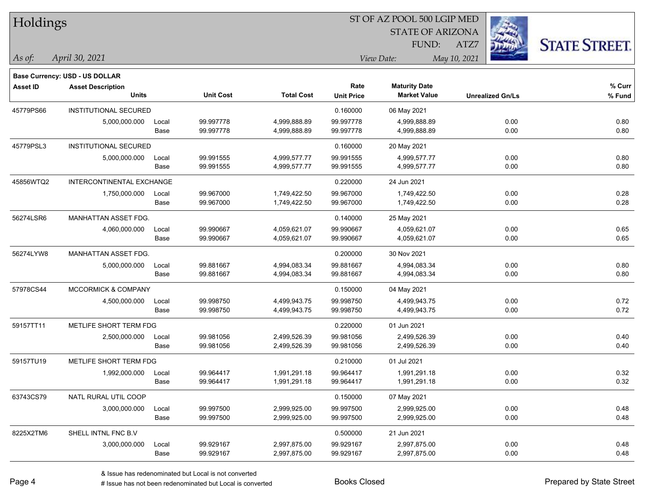| Holdings        |                                   |               |                        |                              |                           | ST OF AZ POOL 500 LGIP MED                  |                         |                      |
|-----------------|-----------------------------------|---------------|------------------------|------------------------------|---------------------------|---------------------------------------------|-------------------------|----------------------|
|                 |                                   |               |                        |                              |                           | <b>STATE OF ARIZONA</b>                     |                         |                      |
|                 |                                   |               |                        |                              |                           | FUND:                                       | ATZ7                    | <b>STATE STREET.</b> |
| As of:          | April 30, 2021                    |               |                        |                              | View Date:                |                                             | May 10, 2021            |                      |
|                 |                                   |               |                        |                              |                           |                                             |                         |                      |
|                 | Base Currency: USD - US DOLLAR    |               |                        |                              |                           |                                             |                         |                      |
| <b>Asset ID</b> | <b>Asset Description</b><br>Units |               | <b>Unit Cost</b>       | <b>Total Cost</b>            | Rate<br><b>Unit Price</b> | <b>Maturity Date</b><br><b>Market Value</b> | <b>Unrealized Gn/Ls</b> | $%$ Curr<br>% Fund   |
|                 | <b>INSTITUTIONAL SECURED</b>      |               |                        |                              |                           |                                             |                         |                      |
| 45779PS66       |                                   |               | 99.997778              |                              | 0.160000<br>99.997778     | 06 May 2021                                 |                         |                      |
|                 | 5,000,000.000                     | Local<br>Base | 99.997778              | 4,999,888.89<br>4,999,888.89 | 99.997778                 | 4,999,888.89<br>4,999,888.89                | 0.00<br>0.00            | 0.80<br>0.80         |
|                 |                                   |               |                        |                              |                           |                                             |                         |                      |
| 45779PSL3       | <b>INSTITUTIONAL SECURED</b>      |               |                        |                              | 0.160000                  | 20 May 2021                                 |                         |                      |
|                 | 5,000,000.000                     | Local<br>Base | 99.991555<br>99.991555 | 4,999,577.77<br>4,999,577.77 | 99.991555<br>99.991555    | 4,999,577.77<br>4,999,577.77                | 0.00<br>0.00            | 0.80<br>0.80         |
| 45856WTQ2       | INTERCONTINENTAL EXCHANGE         |               |                        |                              | 0.220000                  |                                             |                         |                      |
|                 | 1,750,000.000                     |               | 99.967000              | 1,749,422.50                 | 99.967000                 | 24 Jun 2021<br>1,749,422.50                 |                         | 0.28                 |
|                 |                                   | Local<br>Base | 99.967000              | 1,749,422.50                 | 99.967000                 | 1,749,422.50                                | 0.00<br>0.00            | 0.28                 |
| 56274LSR6       | MANHATTAN ASSET FDG.              |               |                        |                              | 0.140000                  | 25 May 2021                                 |                         |                      |
|                 | 4,060,000.000                     | Local         | 99.990667              | 4,059,621.07                 | 99.990667                 | 4,059,621.07                                | 0.00                    | 0.65                 |
|                 |                                   | Base          | 99.990667              | 4,059,621.07                 | 99.990667                 | 4,059,621.07                                | 0.00                    | 0.65                 |
| 56274LYW8       | MANHATTAN ASSET FDG.              |               |                        |                              | 0.200000                  | 30 Nov 2021                                 |                         |                      |
|                 | 5,000,000.000                     | Local         | 99.881667              | 4,994,083.34                 | 99.881667                 | 4,994,083.34                                | 0.00                    | 0.80                 |
|                 |                                   | Base          | 99.881667              | 4,994,083.34                 | 99.881667                 | 4,994,083.34                                | 0.00                    | 0.80                 |
| 57978CS44       | <b>MCCORMICK &amp; COMPANY</b>    |               |                        |                              | 0.150000                  | 04 May 2021                                 |                         |                      |
|                 | 4,500,000.000                     | Local         | 99.998750              | 4,499,943.75                 | 99.998750                 | 4,499,943.75                                | 0.00                    | 0.72                 |
|                 |                                   | Base          | 99.998750              | 4,499,943.75                 | 99.998750                 | 4,499,943.75                                | 0.00                    | 0.72                 |
| 59157TT11       | METLIFE SHORT TERM FDG            |               |                        |                              | 0.220000                  | 01 Jun 2021                                 |                         |                      |
|                 | 2,500,000.000                     | Local         | 99.981056              | 2,499,526.39                 | 99.981056                 | 2,499,526.39                                | 0.00                    | 0.40                 |
|                 |                                   | Base          | 99.981056              | 2,499,526.39                 | 99.981056                 | 2,499,526.39                                | 0.00                    | 0.40                 |
| 59157TU19       | METLIFE SHORT TERM FDG            |               |                        |                              | 0.210000                  | 01 Jul 2021                                 |                         |                      |
|                 | 1,992,000.000                     | Local         | 99.964417              | 1,991,291.18                 | 99.964417                 | 1,991,291.18                                | 0.00                    | 0.32                 |
|                 |                                   | Base          | 99.964417              | 1,991,291.18                 | 99.964417                 | 1,991,291.18                                | 0.00                    | 0.32                 |
| 63743CS79       | NATL RURAL UTIL COOP              |               |                        |                              | 0.150000                  | 07 May 2021                                 |                         |                      |
|                 | 3,000,000.000                     | Local         | 99.997500              | 2,999,925.00                 | 99.997500                 | 2,999,925.00                                | 0.00                    | 0.48                 |
|                 |                                   | Base          | 99.997500              | 2,999,925.00                 | 99.997500                 | 2,999,925.00                                | 0.00                    | 0.48                 |
| 8225X2TM6       | SHELL INTNL FNC B.V               |               |                        |                              | 0.500000                  | 21 Jun 2021                                 |                         |                      |
|                 | 3,000,000.000                     | Local         | 99.929167              | 2,997,875.00                 | 99.929167                 | 2,997,875.00                                | 0.00                    | 0.48                 |
|                 |                                   | Base          | 99.929167              | 2,997,875.00                 | 99.929167                 | 2,997,875.00                                | 0.00                    | 0.48                 |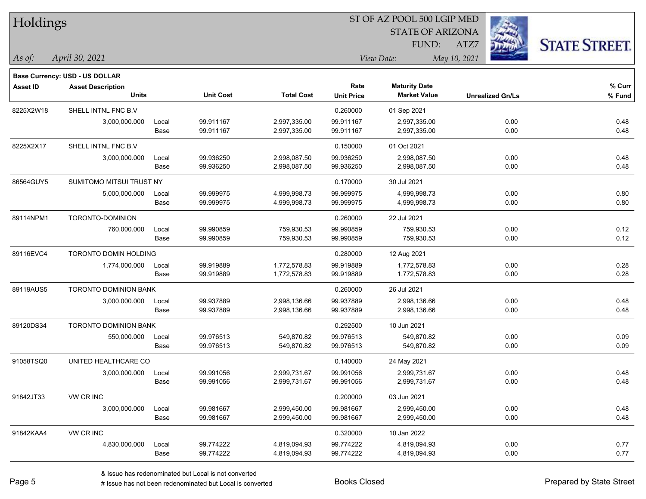| Holdings        |                                       |       |                  |                   |                   | ST OF AZ POOL 500 LGIP MED |                         |                     |
|-----------------|---------------------------------------|-------|------------------|-------------------|-------------------|----------------------------|-------------------------|---------------------|
|                 |                                       |       |                  |                   |                   | <b>STATE OF ARIZONA</b>    |                         |                     |
|                 |                                       |       |                  |                   |                   | FUND:                      | ATZ7                    | <b>STATE STREET</b> |
| As of:          | April 30, 2021                        |       |                  |                   |                   | View Date:                 | May 10, 2021            |                     |
|                 | <b>Base Currency: USD - US DOLLAR</b> |       |                  |                   |                   |                            |                         |                     |
| <b>Asset ID</b> | <b>Asset Description</b>              |       |                  |                   | Rate              | <b>Maturity Date</b>       |                         | % Curr              |
|                 | <b>Units</b>                          |       | <b>Unit Cost</b> | <b>Total Cost</b> | <b>Unit Price</b> | <b>Market Value</b>        | <b>Unrealized Gn/Ls</b> | % Fund              |
| 8225X2W18       | SHELL INTNL FNC B.V                   |       |                  |                   | 0.260000          | 01 Sep 2021                |                         |                     |
|                 | 3,000,000.000                         | Local | 99.911167        | 2,997,335.00      | 99.911167         | 2,997,335.00               | 0.00                    | 0.48                |
|                 |                                       | Base  | 99.911167        | 2,997,335.00      | 99.911167         | 2,997,335.00               | 0.00                    | 0.48                |
| 8225X2X17       | SHELL INTNL FNC B.V                   |       |                  |                   | 0.150000          | 01 Oct 2021                |                         |                     |
|                 | 3,000,000.000                         | Local | 99.936250        | 2,998,087.50      | 99.936250         | 2,998,087.50               | 0.00                    | 0.48                |
|                 |                                       | Base  | 99.936250        | 2,998,087.50      | 99.936250         | 2,998,087.50               | 0.00                    | 0.48                |
| 86564GUY5       | SUMITOMO MITSUI TRUST NY              |       |                  |                   | 0.170000          | 30 Jul 2021                |                         |                     |
|                 | 5,000,000.000                         | Local | 99.999975        | 4,999,998.73      | 99.999975         | 4,999,998.73               | 0.00                    | 0.80                |
|                 |                                       | Base  | 99.999975        | 4,999,998.73      | 99.999975         | 4,999,998.73               | 0.00                    | 0.80                |
| 89114NPM1       | TORONTO-DOMINION                      |       |                  |                   | 0.260000          | 22 Jul 2021                |                         |                     |
|                 | 760,000.000                           | Local | 99.990859        | 759,930.53        | 99.990859         | 759,930.53                 | 0.00                    | 0.12                |
|                 |                                       | Base  | 99.990859        | 759,930.53        | 99.990859         | 759,930.53                 | 0.00                    | 0.12                |
| 89116EVC4       | TORONTO DOMIN HOLDING                 |       |                  |                   | 0.280000          | 12 Aug 2021                |                         |                     |
|                 | 1,774,000.000                         | Local | 99.919889        | 1,772,578.83      | 99.919889         | 1,772,578.83               | 0.00                    | 0.28                |
|                 |                                       | Base  | 99.919889        | 1,772,578.83      | 99.919889         | 1,772,578.83               | 0.00                    | 0.28                |
| 89119AUS5       | TORONTO DOMINION BANK                 |       |                  |                   | 0.260000          | 26 Jul 2021                |                         |                     |
|                 | 3,000,000.000                         | Local | 99.937889        | 2,998,136.66      | 99.937889         | 2,998,136.66               | 0.00                    | 0.48                |
|                 |                                       | Base  | 99.937889        | 2,998,136.66      | 99.937889         | 2,998,136.66               | 0.00                    | 0.48                |
| 89120DS34       | <b>TORONTO DOMINION BANK</b>          |       |                  |                   | 0.292500          | 10 Jun 2021                |                         |                     |
|                 | 550,000.000                           | Local | 99.976513        | 549,870.82        | 99.976513         | 549,870.82                 | 0.00                    | 0.09                |
|                 |                                       | Base  | 99.976513        | 549,870.82        | 99.976513         | 549,870.82                 | 0.00                    | 0.09                |
| 91058TSQ0       | UNITED HEALTHCARE CO                  |       |                  |                   | 0.140000          | 24 May 2021                |                         |                     |
|                 | 3,000,000.000                         | Local | 99.991056        | 2,999,731.67      | 99.991056         | 2,999,731.67               | 0.00                    | 0.48                |
|                 |                                       | Base  | 99.991056        | 2,999,731.67      | 99.991056         | 2,999,731.67               | 0.00                    | 0.48                |
| 91842JT33       | VW CR INC                             |       |                  |                   | 0.200000          | 03 Jun 2021                |                         |                     |
|                 | 3,000,000.000                         | Local | 99.981667        | 2,999,450.00      | 99.981667         | 2,999,450.00               | 0.00                    | 0.48                |
|                 |                                       | Base  | 99.981667        | 2,999,450.00      | 99.981667         | 2,999,450.00               | 0.00                    | 0.48                |
| 91842KAA4       | VW CR INC                             |       |                  |                   | 0.320000          | 10 Jan 2022                |                         |                     |
|                 | 4,830,000.000                         | Local | 99.774222        | 4,819,094.93      | 99.774222         | 4,819,094.93               | 0.00                    | 0.77                |
|                 |                                       | Base  | 99.774222        | 4,819,094.93      | 99.774222         | 4,819,094.93               | 0.00                    | 0.77                |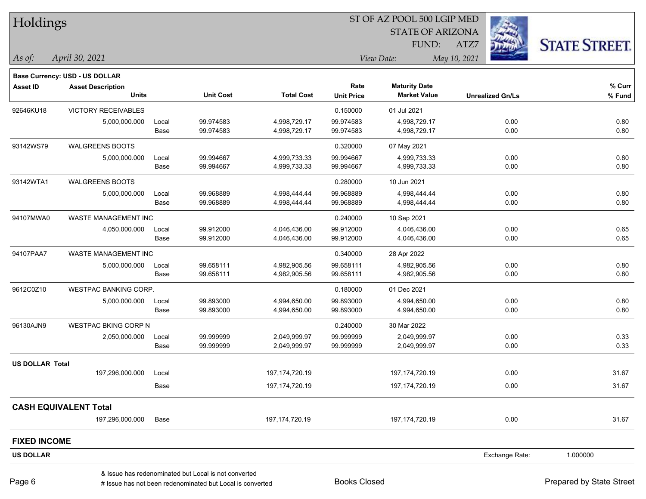| Holdings               |                                       |       |                                                      |                   |                   | ST OF AZ POOL 500 LGIP MED |                         |                |                      |
|------------------------|---------------------------------------|-------|------------------------------------------------------|-------------------|-------------------|----------------------------|-------------------------|----------------|----------------------|
|                        |                                       |       |                                                      |                   |                   | <b>STATE OF ARIZONA</b>    |                         |                |                      |
|                        |                                       |       |                                                      |                   |                   | FUND:                      | ATZ7                    |                | <b>STATE STREET.</b> |
| $\vert$ As of:         | April 30, 2021                        |       |                                                      |                   |                   | View Date:                 | May 10, 2021            |                |                      |
|                        | <b>Base Currency: USD - US DOLLAR</b> |       |                                                      |                   |                   |                            |                         |                |                      |
| <b>Asset ID</b>        | <b>Asset Description</b>              |       |                                                      |                   | Rate              | <b>Maturity Date</b>       |                         |                | % Curr               |
|                        | <b>Units</b>                          |       | <b>Unit Cost</b>                                     | <b>Total Cost</b> | <b>Unit Price</b> | <b>Market Value</b>        | <b>Unrealized Gn/Ls</b> |                | $%$ Fund             |
| 92646KU18              | <b>VICTORY RECEIVABLES</b>            |       |                                                      |                   | 0.150000          | 01 Jul 2021                |                         |                |                      |
|                        | 5,000,000.000                         | Local | 99.974583                                            | 4,998,729.17      | 99.974583         | 4,998,729.17               |                         | 0.00           | 0.80                 |
|                        |                                       | Base  | 99.974583                                            | 4,998,729.17      | 99.974583         | 4,998,729.17               |                         | 0.00           | 0.80                 |
| 93142WS79              | <b>WALGREENS BOOTS</b>                |       |                                                      |                   | 0.320000          | 07 May 2021                |                         |                |                      |
|                        | 5,000,000.000                         | Local | 99.994667                                            | 4,999,733.33      | 99.994667         | 4,999,733.33               |                         | 0.00           | 0.80                 |
|                        |                                       | Base  | 99.994667                                            | 4,999,733.33      | 99.994667         | 4,999,733.33               |                         | 0.00           | 0.80                 |
| 93142WTA1              | <b>WALGREENS BOOTS</b>                |       |                                                      |                   | 0.280000          | 10 Jun 2021                |                         |                |                      |
|                        | 5,000,000.000                         | Local | 99.968889                                            | 4,998,444.44      | 99.968889         | 4,998,444.44               |                         | 0.00           | 0.80                 |
|                        |                                       | Base  | 99.968889                                            | 4,998,444.44      | 99.968889         | 4,998,444.44               |                         | 0.00           | 0.80                 |
| 94107MWA0              | <b>WASTE MANAGEMENT INC</b>           |       |                                                      |                   | 0.240000          | 10 Sep 2021                |                         |                |                      |
|                        | 4,050,000.000                         | Local | 99.912000                                            | 4,046,436.00      | 99.912000         | 4,046,436.00               |                         | 0.00           | 0.65                 |
|                        |                                       | Base  | 99.912000                                            | 4,046,436.00      | 99.912000         | 4,046,436.00               |                         | 0.00           | 0.65                 |
| 94107PAA7              | WASTE MANAGEMENT INC                  |       |                                                      |                   | 0.340000          | 28 Apr 2022                |                         |                |                      |
|                        | 5,000,000.000                         | Local | 99.658111                                            | 4,982,905.56      | 99.658111         | 4,982,905.56               |                         | 0.00           | 0.80                 |
|                        |                                       | Base  | 99.658111                                            | 4,982,905.56      | 99.658111         | 4,982,905.56               |                         | 0.00           | 0.80                 |
| 9612C0Z10              | WESTPAC BANKING CORP.                 |       |                                                      |                   | 0.180000          | 01 Dec 2021                |                         |                |                      |
|                        | 5,000,000.000                         | Local | 99.893000                                            | 4,994,650.00      | 99.893000         | 4,994,650.00               |                         | 0.00           | 0.80                 |
|                        |                                       | Base  | 99.893000                                            | 4,994,650.00      | 99.893000         | 4,994,650.00               |                         | 0.00           | 0.80                 |
| 96130AJN9              | WESTPAC BKING CORP N                  |       |                                                      |                   | 0.240000          | 30 Mar 2022                |                         |                |                      |
|                        | 2,050,000.000                         | Local | 99.999999                                            | 2,049,999.97      | 99.999999         | 2,049,999.97               |                         | 0.00           | 0.33                 |
|                        |                                       | Base  | 99.999999                                            | 2,049,999.97      | 99.999999         | 2,049,999.97               |                         | 0.00           | 0.33                 |
| <b>US DOLLAR Total</b> |                                       |       |                                                      |                   |                   |                            |                         |                |                      |
|                        | 197,296,000.000                       | Local |                                                      | 197, 174, 720. 19 |                   | 197, 174, 720. 19          |                         | 0.00           | 31.67                |
|                        |                                       | Base  |                                                      | 197, 174, 720. 19 |                   | 197, 174, 720. 19          |                         | 0.00           | 31.67                |
|                        | <b>CASH EQUIVALENT Total</b>          |       |                                                      |                   |                   |                            |                         |                |                      |
|                        | 197,296,000.000                       | Base  |                                                      | 197,174,720.19    |                   | 197, 174, 720. 19          |                         | 0.00           | 31.67                |
| <b>FIXED INCOME</b>    |                                       |       |                                                      |                   |                   |                            |                         |                |                      |
| <b>US DOLLAR</b>       |                                       |       |                                                      |                   |                   |                            |                         | Exchange Rate: | 1.000000             |
|                        |                                       |       | & Issue has redenominated but Local is not converted |                   |                   |                            |                         |                |                      |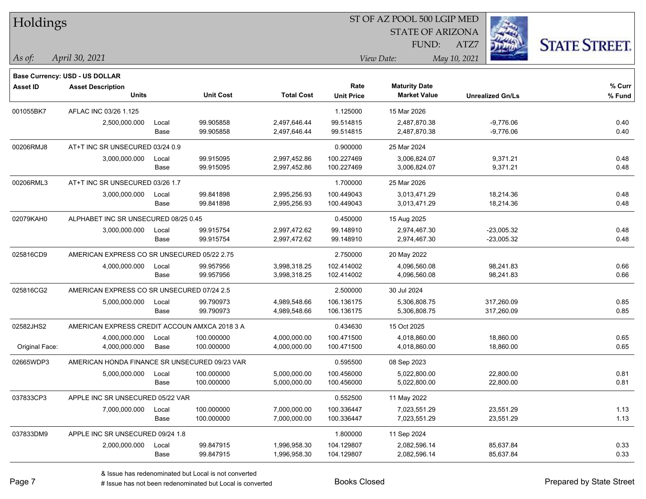| Holdings |  |
|----------|--|
|----------|--|

STATE OF ARIZONA

ATZ7



*April 30, 2021 As of: View Date: May 10, 2021*

**Base Currency: USD - US DOLLAR**

FUND:

| Asset ID       | <b>Asset Description</b>                      |       |                  |                   | Rate              | <b>Maturity Date</b> |                         | % Curr |
|----------------|-----------------------------------------------|-------|------------------|-------------------|-------------------|----------------------|-------------------------|--------|
|                | <b>Units</b>                                  |       | <b>Unit Cost</b> | <b>Total Cost</b> | <b>Unit Price</b> | <b>Market Value</b>  | <b>Unrealized Gn/Ls</b> | % Fund |
| 001055BK7      | AFLAC INC 03/26 1.125                         |       |                  |                   | 1.125000          | 15 Mar 2026          |                         |        |
|                | 2,500,000.000                                 | Local | 99.905858        | 2,497,646.44      | 99.514815         | 2,487,870.38         | $-9,776.06$             | 0.40   |
|                |                                               | Base  | 99.905858        | 2,497,646.44      | 99.514815         | 2,487,870.38         | $-9,776.06$             | 0.40   |
| 00206RMJ8      | AT+T INC SR UNSECURED 03/24 0.9               |       |                  |                   | 0.900000          | 25 Mar 2024          |                         |        |
|                | 3,000,000.000                                 | Local | 99.915095        | 2,997,452.86      | 100.227469        | 3,006,824.07         | 9,371.21                | 0.48   |
|                |                                               | Base  | 99.915095        | 2,997,452.86      | 100.227469        | 3,006,824.07         | 9,371.21                | 0.48   |
| 00206RML3      | AT+T INC SR UNSECURED 03/26 1.7               |       |                  |                   | 1.700000          | 25 Mar 2026          |                         |        |
|                | 3,000,000.000                                 | Local | 99.841898        | 2,995,256.93      | 100.449043        | 3.013.471.29         | 18,214.36               | 0.48   |
|                |                                               | Base  | 99.841898        | 2,995,256.93      | 100.449043        | 3,013,471.29         | 18,214.36               | 0.48   |
| 02079KAH0      | ALPHABET INC SR UNSECURED 08/25 0.45          |       |                  |                   | 0.450000          | 15 Aug 2025          |                         |        |
|                | 3,000,000.000                                 | Local | 99.915754        | 2,997,472.62      | 99.148910         | 2,974,467.30         | $-23,005.32$            | 0.48   |
|                |                                               | Base  | 99.915754        | 2,997,472.62      | 99.148910         | 2,974,467.30         | $-23,005.32$            | 0.48   |
| 025816CD9      | AMERICAN EXPRESS CO SR UNSECURED 05/22 2.75   |       |                  |                   | 2.750000          | 20 May 2022          |                         |        |
|                | 4,000,000.000                                 | Local | 99.957956        | 3,998,318.25      | 102.414002        | 4,096,560.08         | 98,241.83               | 0.66   |
|                |                                               | Base  | 99.957956        | 3,998,318.25      | 102.414002        | 4,096,560.08         | 98,241.83               | 0.66   |
| 025816CG2      | AMERICAN EXPRESS CO SR UNSECURED 07/24 2.5    |       |                  |                   | 2.500000          | 30 Jul 2024          |                         |        |
|                | 5,000,000.000                                 | Local | 99.790973        | 4,989,548.66      | 106.136175        | 5,306,808.75         | 317,260.09              | 0.85   |
|                |                                               | Base  | 99.790973        | 4,989,548.66      | 106.136175        | 5,306,808.75         | 317,260.09              | 0.85   |
| 02582JHS2      | AMERICAN EXPRESS CREDIT ACCOUN AMXCA 2018 3 A |       |                  |                   | 0.434630          | 15 Oct 2025          |                         |        |
|                | 4,000,000.000                                 | Local | 100.000000       | 4,000,000.00      | 100.471500        | 4,018,860.00         | 18,860.00               | 0.65   |
| Original Face: | 4,000,000.000                                 | Base  | 100.000000       | 4,000,000.00      | 100.471500        | 4,018,860.00         | 18,860.00               | 0.65   |
| 02665WDP3      | AMERICAN HONDA FINANCE SR UNSECURED 09/23 VAR |       |                  |                   | 0.595500          | 08 Sep 2023          |                         |        |
|                | 5,000,000.000                                 | Local | 100.000000       | 5,000,000.00      | 100.456000        | 5,022,800.00         | 22,800.00               | 0.81   |
|                |                                               | Base  | 100.000000       | 5,000,000.00      | 100.456000        | 5,022,800.00         | 22,800.00               | 0.81   |
| 037833CP3      | APPLE INC SR UNSECURED 05/22 VAR              |       |                  |                   | 0.552500          | 11 May 2022          |                         |        |
|                | 7,000,000.000                                 | Local | 100.000000       | 7,000,000.00      | 100.336447        | 7,023,551.29         | 23,551.29               | 1.13   |
|                |                                               | Base  | 100.000000       | 7,000,000.00      | 100.336447        | 7,023,551.29         | 23,551.29               | 1.13   |
| 037833DM9      | APPLE INC SR UNSECURED 09/24 1.8              |       |                  |                   | 1.800000          | 11 Sep 2024          |                         |        |
|                | 2,000,000.000                                 | Local | 99.847915        | 1,996,958.30      | 104.129807        | 2,082,596.14         | 85,637.84               | 0.33   |
|                |                                               | Base  | 99.847915        | 1,996,958.30      | 104.129807        | 2,082,596.14         | 85,637.84               | 0.33   |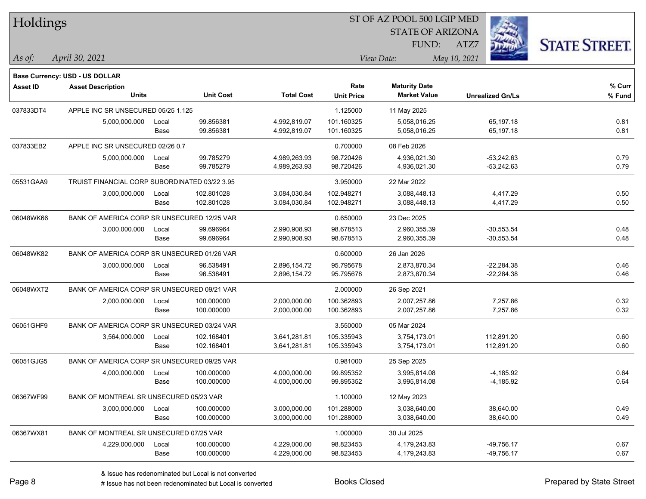| Holdings       |                                               |       |                  |                   |                   | ST OF AZ POOL 500 LGIP MED |                         |                      |  |  |
|----------------|-----------------------------------------------|-------|------------------|-------------------|-------------------|----------------------------|-------------------------|----------------------|--|--|
|                |                                               |       |                  |                   |                   | <b>STATE OF ARIZONA</b>    |                         |                      |  |  |
|                |                                               |       |                  |                   |                   | FUND:                      | ATZ7                    | <b>STATE STREET.</b> |  |  |
| $\vert$ As of: | April 30, 2021                                |       |                  |                   |                   | View Date:                 | May 10, 2021            |                      |  |  |
|                | Base Currency: USD - US DOLLAR                |       |                  |                   |                   |                            |                         |                      |  |  |
| Asset ID       | <b>Asset Description</b>                      |       |                  |                   | Rate              | <b>Maturity Date</b>       |                         | % Curr               |  |  |
|                | <b>Units</b>                                  |       | <b>Unit Cost</b> | <b>Total Cost</b> | <b>Unit Price</b> | <b>Market Value</b>        | <b>Unrealized Gn/Ls</b> | % Fund               |  |  |
| 037833DT4      | APPLE INC SR UNSECURED 05/25 1.125            |       |                  |                   | 1.125000          | 11 May 2025                |                         |                      |  |  |
|                | 5,000,000.000                                 | Local | 99.856381        | 4,992,819.07      | 101.160325        | 5,058,016.25               | 65,197.18               | 0.81                 |  |  |
|                |                                               | Base  | 99.856381        | 4,992,819.07      | 101.160325        | 5,058,016.25               | 65,197.18               | 0.81                 |  |  |
| 037833EB2      | APPLE INC SR UNSECURED 02/26 0.7              |       |                  |                   | 0.700000          | 08 Feb 2026                |                         |                      |  |  |
|                | 5,000,000.000                                 | Local | 99.785279        | 4,989,263.93      | 98.720426         | 4,936,021.30               | $-53,242.63$            | 0.79                 |  |  |
|                |                                               | Base  | 99.785279        | 4,989,263.93      | 98.720426         | 4,936,021.30               | $-53,242.63$            | 0.79                 |  |  |
| 05531GAA9      | TRUIST FINANCIAL CORP SUBORDINATED 03/22 3.95 |       |                  |                   | 3.950000          | 22 Mar 2022                |                         |                      |  |  |
|                | 3,000,000.000                                 | Local | 102.801028       | 3,084,030.84      | 102.948271        | 3,088,448.13               | 4,417.29                | 0.50                 |  |  |
|                |                                               | Base  | 102.801028       | 3,084,030.84      | 102.948271        | 3,088,448.13               | 4,417.29                | 0.50                 |  |  |
| 06048WK66      | BANK OF AMERICA CORP SR UNSECURED 12/25 VAR   |       |                  |                   | 0.650000          | 23 Dec 2025                |                         |                      |  |  |
|                | 3,000,000.000                                 | Local | 99.696964        | 2,990,908.93      | 98.678513         | 2,960,355.39               | $-30,553.54$            | 0.48                 |  |  |
|                |                                               | Base  | 99.696964        | 2,990,908.93      | 98.678513         | 2,960,355.39               | $-30,553.54$            | 0.48                 |  |  |
| 06048WK82      | BANK OF AMERICA CORP SR UNSECURED 01/26 VAR   |       |                  |                   | 0.600000          | 26 Jan 2026                |                         |                      |  |  |
|                | 3,000,000.000                                 | Local | 96.538491        | 2,896,154.72      | 95.795678         | 2,873,870.34               | $-22,284.38$            | 0.46                 |  |  |
|                |                                               | Base  | 96.538491        | 2,896,154.72      | 95.795678         | 2,873,870.34               | $-22,284.38$            | 0.46                 |  |  |
| 06048WXT2      | BANK OF AMERICA CORP SR UNSECURED 09/21 VAR   |       |                  |                   | 2.000000          | 26 Sep 2021                |                         |                      |  |  |
|                | 2,000,000.000                                 | Local | 100.000000       | 2,000,000.00      | 100.362893        | 2,007,257.86               | 7,257.86                | 0.32                 |  |  |
|                |                                               | Base  | 100.000000       | 2,000,000.00      | 100.362893        | 2,007,257.86               | 7,257.86                | 0.32                 |  |  |
| 06051GHF9      | BANK OF AMERICA CORP SR UNSECURED 03/24 VAR   |       |                  |                   | 3.550000          | 05 Mar 2024                |                         |                      |  |  |
|                | 3,564,000.000                                 | Local | 102.168401       | 3,641,281.81      | 105.335943        | 3,754,173.01               | 112,891.20              | 0.60                 |  |  |
|                |                                               | Base  | 102.168401       | 3,641,281.81      | 105.335943        | 3,754,173.01               | 112,891.20              | 0.60                 |  |  |
| 06051GJG5      | BANK OF AMERICA CORP SR UNSECURED 09/25 VAR   |       |                  |                   | 0.981000          | 25 Sep 2025                |                         |                      |  |  |
|                | 4,000,000.000                                 | Local | 100.000000       | 4,000,000.00      | 99.895352         | 3,995,814.08               | $-4,185.92$             | 0.64                 |  |  |
|                |                                               | Base  | 100.000000       | 4,000,000.00      | 99.895352         | 3,995,814.08               | $-4,185.92$             | 0.64                 |  |  |
| 06367WF99      | BANK OF MONTREAL SR UNSECURED 05/23 VAR       |       |                  |                   | 1.100000          | 12 May 2023                |                         |                      |  |  |
|                | 3,000,000.000                                 | Local | 100.000000       | 3,000,000.00      | 101.288000        | 3,038,640.00               | 38,640.00               | 0.49                 |  |  |
|                |                                               | Base  | 100.000000       | 3,000,000.00      | 101.288000        | 3,038,640.00               | 38,640.00               | 0.49                 |  |  |
| 06367WX81      | BANK OF MONTREAL SR UNSECURED 07/25 VAR       |       |                  |                   | 1.000000          | 30 Jul 2025                |                         |                      |  |  |
|                | 4,229,000.000                                 | Local | 100.000000       | 4,229,000.00      | 98.823453         | 4,179,243.83               | $-49,756.17$            | 0.67                 |  |  |
|                |                                               | Base  | 100.000000       | 4,229,000.00      | 98.823453         | 4,179,243.83               | $-49,756.17$            | 0.67                 |  |  |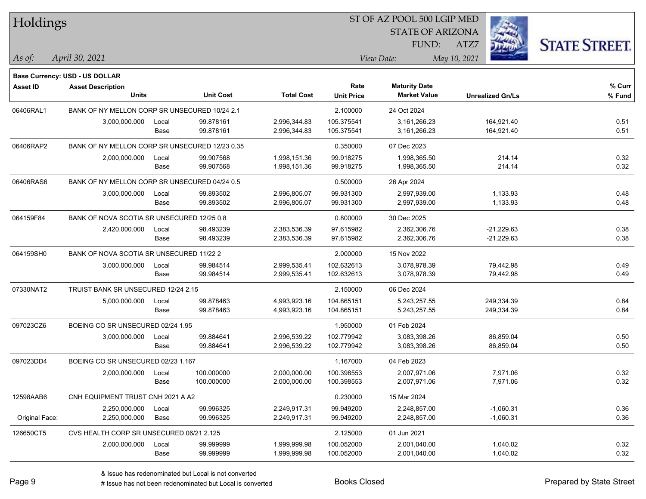| Holdings        |                                                |       |                  |                   |                   | ST OF AZ POOL 500 LGIP MED |                         |                      |
|-----------------|------------------------------------------------|-------|------------------|-------------------|-------------------|----------------------------|-------------------------|----------------------|
|                 |                                                |       |                  |                   |                   | <b>STATE OF ARIZONA</b>    |                         |                      |
|                 |                                                |       |                  |                   |                   | FUND:                      | ATZ7                    | <b>STATE STREET.</b> |
| As of:          | April 30, 2021                                 |       |                  |                   |                   | View Date:                 | May 10, 2021            |                      |
|                 | Base Currency: USD - US DOLLAR                 |       |                  |                   |                   |                            |                         |                      |
| <b>Asset ID</b> | <b>Asset Description</b>                       |       |                  |                   | Rate              | <b>Maturity Date</b>       |                         | % Curr               |
|                 | <b>Units</b>                                   |       | <b>Unit Cost</b> | <b>Total Cost</b> | <b>Unit Price</b> | <b>Market Value</b>        | <b>Unrealized Gn/Ls</b> | % Fund               |
| 06406RAL1       | BANK OF NY MELLON CORP SR UNSECURED 10/24 2.1  |       |                  |                   | 2.100000          | 24 Oct 2024                |                         |                      |
|                 | 3,000,000.000                                  | Local | 99.878161        | 2,996,344.83      | 105.375541        | 3,161,266.23               | 164,921.40              | 0.51                 |
|                 |                                                | Base  | 99.878161        | 2,996,344.83      | 105.375541        | 3,161,266.23               | 164,921.40              | 0.51                 |
| 06406RAP2       | BANK OF NY MELLON CORP SR UNSECURED 12/23 0.35 |       |                  |                   | 0.350000          | 07 Dec 2023                |                         |                      |
|                 | 2,000,000.000                                  | Local | 99.907568        | 1,998,151.36      | 99.918275         | 1,998,365.50               | 214.14                  | 0.32                 |
|                 |                                                | Base  | 99.907568        | 1,998,151.36      | 99.918275         | 1,998,365.50               | 214.14                  | 0.32                 |
| 06406RAS6       | BANK OF NY MELLON CORP SR UNSECURED 04/24 0.5  |       |                  |                   | 0.500000          | 26 Apr 2024                |                         |                      |
|                 | 3,000,000.000                                  | Local | 99.893502        | 2,996,805.07      | 99.931300         | 2,997,939.00               | 1,133.93                | 0.48                 |
|                 |                                                | Base  | 99.893502        | 2,996,805.07      | 99.931300         | 2,997,939.00               | 1,133.93                | 0.48                 |
| 064159F84       | BANK OF NOVA SCOTIA SR UNSECURED 12/25 0.8     |       |                  |                   | 0.800000          | 30 Dec 2025                |                         |                      |
|                 | 2,420,000.000                                  | Local | 98.493239        | 2,383,536.39      | 97.615982         | 2,362,306.76               | $-21,229.63$            | 0.38                 |
|                 |                                                | Base  | 98.493239        | 2,383,536.39      | 97.615982         | 2,362,306.76               | $-21,229.63$            | 0.38                 |
| 064159SH0       | BANK OF NOVA SCOTIA SR UNSECURED 11/22 2       |       |                  |                   | 2.000000          | 15 Nov 2022                |                         |                      |
|                 | 3,000,000.000                                  | Local | 99.984514        | 2,999,535.41      | 102.632613        | 3,078,978.39               | 79,442.98               | 0.49                 |
|                 |                                                | Base  | 99.984514        | 2,999,535.41      | 102.632613        | 3,078,978.39               | 79,442.98               | 0.49                 |
| 07330NAT2       | TRUIST BANK SR UNSECURED 12/24 2.15            |       |                  |                   | 2.150000          | 06 Dec 2024                |                         |                      |
|                 | 5,000,000.000                                  | Local | 99.878463        | 4,993,923.16      | 104.865151        | 5,243,257.55               | 249,334.39              | 0.84                 |
|                 |                                                | Base  | 99.878463        | 4,993,923.16      | 104.865151        | 5,243,257.55               | 249,334.39              | 0.84                 |
| 097023CZ6       | BOEING CO SR UNSECURED 02/24 1.95              |       |                  |                   | 1.950000          | 01 Feb 2024                |                         |                      |
|                 | 3,000,000.000                                  | Local | 99.884641        | 2,996,539.22      | 102.779942        | 3,083,398.26               | 86,859.04               | 0.50                 |
|                 |                                                | Base  | 99.884641        | 2,996,539.22      | 102.779942        | 3,083,398.26               | 86,859.04               | 0.50                 |
| 097023DD4       | BOEING CO SR UNSECURED 02/23 1.167             |       |                  |                   | 1.167000          | 04 Feb 2023                |                         |                      |
|                 | 2,000,000.000                                  | Local | 100.000000       | 2,000,000.00      | 100.398553        | 2,007,971.06               | 7,971.06                | 0.32                 |
|                 |                                                | Base  | 100.000000       | 2,000,000.00      | 100.398553        | 2,007,971.06               | 7,971.06                | 0.32                 |
| 12598AAB6       | CNH EQUIPMENT TRUST CNH 2021 A A2              |       |                  |                   | 0.230000          | 15 Mar 2024                |                         |                      |
|                 | 2,250,000.000                                  | Local | 99.996325        | 2,249,917.31      | 99.949200         | 2,248,857.00               | $-1,060.31$             | 0.36                 |
| Original Face:  | 2,250,000.000                                  | Base  | 99.996325        | 2,249,917.31      | 99.949200         | 2,248,857.00               | $-1,060.31$             | 0.36                 |
| 126650CT5       | CVS HEALTH CORP SR UNSECURED 06/21 2.125       |       |                  |                   | 2.125000          | 01 Jun 2021                |                         |                      |
|                 | 2,000,000.000                                  | Local | 99.999999        | 1,999,999.98      | 100.052000        | 2,001,040.00               | 1,040.02                | 0.32                 |
|                 |                                                | Base  | 99.999999        | 1,999,999.98      | 100.052000        | 2,001,040.00               | 1,040.02                | 0.32                 |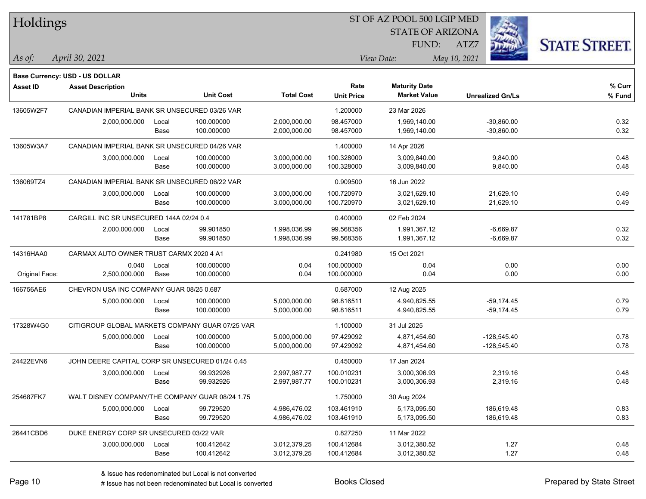| Holdings        |                                                                   |       |                  |                   |                   | ST OF AZ POOL 500 LGIP MED |                         |                      |
|-----------------|-------------------------------------------------------------------|-------|------------------|-------------------|-------------------|----------------------------|-------------------------|----------------------|
|                 |                                                                   |       |                  |                   |                   | <b>STATE OF ARIZONA</b>    |                         |                      |
|                 |                                                                   |       |                  |                   |                   | <b>FUND:</b>               | ATZ7                    | <b>STATE STREET.</b> |
| $\vert$ As of:  | April 30, 2021                                                    |       |                  |                   |                   | View Date:                 | May 10, 2021            |                      |
|                 |                                                                   |       |                  |                   |                   |                            |                         |                      |
| <b>Asset ID</b> | <b>Base Currency: USD - US DOLLAR</b><br><b>Asset Description</b> |       |                  |                   | Rate              | <b>Maturity Date</b>       |                         | % Curr               |
|                 | <b>Units</b>                                                      |       | <b>Unit Cost</b> | <b>Total Cost</b> | <b>Unit Price</b> | <b>Market Value</b>        | <b>Unrealized Gn/Ls</b> | % Fund               |
| 13605W2F7       | CANADIAN IMPERIAL BANK SR UNSECURED 03/26 VAR                     |       |                  |                   | 1.200000          | 23 Mar 2026                |                         |                      |
|                 | 2,000,000.000                                                     | Local | 100.000000       | 2,000,000.00      | 98.457000         | 1,969,140.00               | $-30,860.00$            | 0.32                 |
|                 |                                                                   | Base  | 100.000000       | 2,000,000.00      | 98.457000         | 1,969,140.00               | $-30,860.00$            | 0.32                 |
| 13605W3A7       | CANADIAN IMPERIAL BANK SR UNSECURED 04/26 VAR                     |       |                  |                   | 1.400000          | 14 Apr 2026                |                         |                      |
|                 | 3,000,000.000                                                     | Local | 100.000000       | 3,000,000.00      | 100.328000        | 3,009,840.00               | 9,840.00                | 0.48                 |
|                 |                                                                   | Base  | 100.000000       | 3,000,000.00      | 100.328000        | 3,009,840.00               | 9,840.00                | 0.48                 |
| 136069TZ4       | CANADIAN IMPERIAL BANK SR UNSECURED 06/22 VAR                     |       |                  |                   | 0.909500          | 16 Jun 2022                |                         |                      |
|                 | 3,000,000.000                                                     | Local | 100.000000       | 3,000,000.00      | 100.720970        | 3,021,629.10               | 21,629.10               | 0.49                 |
|                 |                                                                   | Base  | 100.000000       | 3,000,000.00      | 100.720970        | 3,021,629.10               | 21,629.10               | 0.49                 |
| 141781BP8       | CARGILL INC SR UNSECURED 144A 02/24 0.4                           |       |                  |                   | 0.400000          | 02 Feb 2024                |                         |                      |
|                 | 2,000,000.000                                                     | Local | 99.901850        | 1,998,036.99      | 99.568356         | 1,991,367.12               | $-6,669.87$             | 0.32                 |
|                 |                                                                   | Base  | 99.901850        | 1,998,036.99      | 99.568356         | 1,991,367.12               | $-6,669.87$             | 0.32                 |
| 14316HAA0       | CARMAX AUTO OWNER TRUST CARMX 2020 4 A1                           |       |                  |                   | 0.241980          | 15 Oct 2021                |                         |                      |
|                 | 0.040                                                             | Local | 100.000000       | 0.04              | 100.000000        | 0.04                       | 0.00                    | 0.00                 |
| Original Face:  | 2,500,000.000                                                     | Base  | 100.000000       | 0.04              | 100.000000        | 0.04                       | 0.00                    | 0.00                 |
| 166756AE6       | CHEVRON USA INC COMPANY GUAR 08/25 0.687                          |       |                  |                   | 0.687000          | 12 Aug 2025                |                         |                      |
|                 | 5,000,000.000                                                     | Local | 100.000000       | 5,000,000.00      | 98.816511         | 4,940,825.55               | $-59,174.45$            | 0.79                 |
|                 |                                                                   | Base  | 100.000000       | 5,000,000.00      | 98.816511         | 4,940,825.55               | $-59,174.45$            | 0.79                 |
| 17328W4G0       | CITIGROUP GLOBAL MARKETS COMPANY GUAR 07/25 VAR                   |       |                  |                   | 1.100000          | 31 Jul 2025                |                         |                      |
|                 | 5,000,000.000                                                     | Local | 100.000000       | 5,000,000.00      | 97.429092         | 4,871,454.60               | $-128,545.40$           | 0.78                 |
|                 |                                                                   | Base  | 100.000000       | 5,000,000.00      | 97.429092         | 4,871,454.60               | $-128,545.40$           | 0.78                 |
| 24422EVN6       | JOHN DEERE CAPITAL CORP SR UNSECURED 01/24 0.45                   |       |                  |                   | 0.450000          | 17 Jan 2024                |                         |                      |
|                 | 3,000,000.000                                                     | Local | 99.932926        | 2,997,987.77      | 100.010231        | 3,000,306.93               | 2,319.16                | 0.48                 |
|                 |                                                                   | Base  | 99.932926        | 2,997,987.77      | 100.010231        | 3,000,306.93               | 2,319.16                | 0.48                 |
| 254687FK7       | WALT DISNEY COMPANY/THE COMPANY GUAR 08/24 1.75                   |       |                  |                   | 1.750000          | 30 Aug 2024                |                         |                      |
|                 | 5,000,000.000                                                     | Local | 99.729520        | 4,986,476.02      | 103.461910        | 5,173,095.50               | 186,619.48              | 0.83                 |
|                 |                                                                   | Base  | 99.729520        | 4,986,476.02      | 103.461910        | 5,173,095.50               | 186,619.48              | 0.83                 |
| 26441CBD6       | DUKE ENERGY CORP SR UNSECURED 03/22 VAR                           |       |                  |                   | 0.827250          | 11 Mar 2022                |                         |                      |
|                 | 3,000,000.000                                                     | Local | 100.412642       | 3,012,379.25      | 100.412684        | 3,012,380.52               | 1.27                    | 0.48                 |
|                 |                                                                   | Base  | 100.412642       | 3,012,379.25      | 100.412684        | 3,012,380.52               | 1.27                    | 0.48                 |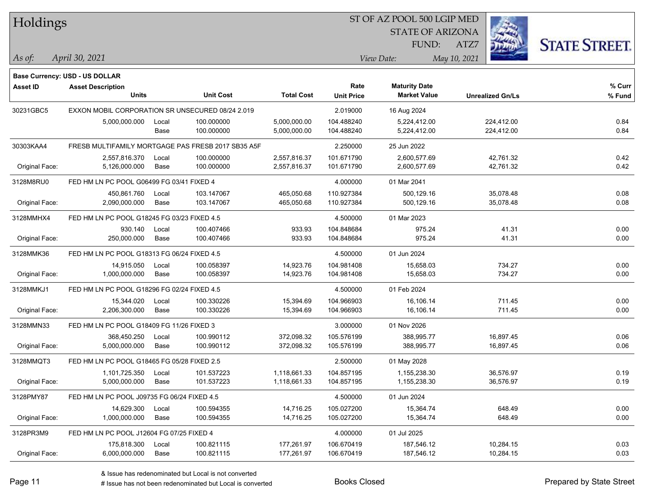Holdings

## ST OF AZ POOL 500 LGIP MED

STATE OF ARIZONA FUND:



*April 30, 2021 As of: View Date: May 10, 2021*

ATZ7

|                 | Base Currency: USD - US DOLLAR                   |       |                                                    |                   |                   |                      |                         |        |
|-----------------|--------------------------------------------------|-------|----------------------------------------------------|-------------------|-------------------|----------------------|-------------------------|--------|
| <b>Asset ID</b> | <b>Asset Description</b>                         |       |                                                    |                   | Rate              | <b>Maturity Date</b> |                         | % Curr |
|                 | <b>Units</b>                                     |       | <b>Unit Cost</b>                                   | <b>Total Cost</b> | <b>Unit Price</b> | <b>Market Value</b>  | <b>Unrealized Gn/Ls</b> | % Fund |
| 30231GBC5       | EXXON MOBIL CORPORATION SR UNSECURED 08/24 2.019 |       |                                                    |                   | 2.019000          | 16 Aug 2024          |                         |        |
|                 | 5,000,000.000                                    | Local | 100.000000                                         | 5,000,000.00      | 104.488240        | 5,224,412.00         | 224,412.00              | 0.84   |
|                 |                                                  | Base  | 100.000000                                         | 5,000,000.00      | 104.488240        | 5,224,412.00         | 224,412.00              | 0.84   |
| 30303KAA4       |                                                  |       | FRESB MULTIFAMILY MORTGAGE PAS FRESB 2017 SB35 A5F |                   | 2.250000          | 25 Jun 2022          |                         |        |
|                 | 2,557,816.370                                    | Local | 100.000000                                         | 2,557,816.37      | 101.671790        | 2.600.577.69         | 42,761.32               | 0.42   |
| Original Face:  | 5,126,000.000                                    | Base  | 100.000000                                         | 2,557,816.37      | 101.671790        | 2,600,577.69         | 42,761.32               | 0.42   |
| 3128M8RU0       | FED HM LN PC POOL G06499 FG 03/41 FIXED 4        |       |                                                    |                   | 4.000000          | 01 Mar 2041          |                         |        |
|                 | 450,861.760                                      | Local | 103.147067                                         | 465,050.68        | 110.927384        | 500,129.16           | 35,078.48               | 0.08   |
| Original Face:  | 2,090,000.000                                    | Base  | 103.147067                                         | 465,050.68        | 110.927384        | 500,129.16           | 35,078.48               | 0.08   |
| 3128MMHX4       | FED HM LN PC POOL G18245 FG 03/23 FIXED 4.5      |       |                                                    |                   | 4.500000          | 01 Mar 2023          |                         |        |
|                 | 930.140                                          | Local | 100.407466                                         | 933.93            | 104.848684        | 975.24               | 41.31                   | 0.00   |
| Original Face:  | 250,000.000                                      | Base  | 100.407466                                         | 933.93            | 104.848684        | 975.24               | 41.31                   | 0.00   |
| 3128MMK36       | FED HM LN PC POOL G18313 FG 06/24 FIXED 4.5      |       |                                                    |                   | 4.500000          | 01 Jun 2024          |                         |        |
|                 | 14,915.050                                       | Local | 100.058397                                         | 14,923.76         | 104.981408        | 15,658.03            | 734.27                  | 0.00   |
| Original Face:  | 1,000,000.000                                    | Base  | 100.058397                                         | 14,923.76         | 104.981408        | 15,658.03            | 734.27                  | 0.00   |
| 3128MMKJ1       | FED HM LN PC POOL G18296 FG 02/24 FIXED 4.5      |       |                                                    |                   | 4.500000          | 01 Feb 2024          |                         |        |
|                 | 15,344.020                                       | Local | 100.330226                                         | 15,394.69         | 104.966903        | 16,106.14            | 711.45                  | 0.00   |
| Original Face:  | 2,206,300.000                                    | Base  | 100.330226                                         | 15,394.69         | 104.966903        | 16,106.14            | 711.45                  | 0.00   |
| 3128MMN33       | FED HM LN PC POOL G18409 FG 11/26 FIXED 3        |       |                                                    |                   | 3.000000          | 01 Nov 2026          |                         |        |
|                 | 368,450.250                                      | Local | 100.990112                                         | 372,098.32        | 105.576199        | 388,995.77           | 16,897.45               | 0.06   |
| Original Face:  | 5,000,000.000                                    | Base  | 100.990112                                         | 372,098.32        | 105.576199        | 388,995.77           | 16,897.45               | 0.06   |
| 3128MMQT3       | FED HM LN PC POOL G18465 FG 05/28 FIXED 2.5      |       |                                                    |                   | 2.500000          | 01 May 2028          |                         |        |
|                 | 1,101,725.350                                    | Local | 101.537223                                         | 1,118,661.33      | 104.857195        | 1,155,238.30         | 36,576.97               | 0.19   |
| Original Face:  | 5,000,000.000                                    | Base  | 101.537223                                         | 1,118,661.33      | 104.857195        | 1,155,238.30         | 36,576.97               | 0.19   |
| 3128PMY87       | FED HM LN PC POOL J09735 FG 06/24 FIXED 4.5      |       |                                                    |                   | 4.500000          | 01 Jun 2024          |                         |        |
|                 | 14,629.300                                       | Local | 100.594355                                         | 14,716.25         | 105.027200        | 15,364.74            | 648.49                  | 0.00   |
| Original Face:  | 1,000,000.000                                    | Base  | 100.594355                                         | 14,716.25         | 105.027200        | 15,364.74            | 648.49                  | 0.00   |
| 3128PR3M9       | FED HM LN PC POOL J12604 FG 07/25 FIXED 4        |       |                                                    |                   | 4.000000          | 01 Jul 2025          |                         |        |
|                 | 175,818.300                                      | Local | 100.821115                                         | 177,261.97        | 106.670419        | 187,546.12           | 10,284.15               | 0.03   |
| Original Face:  | 6,000,000.000                                    | Base  | 100.821115                                         | 177,261.97        | 106.670419        | 187,546.12           | 10,284.15               | 0.03   |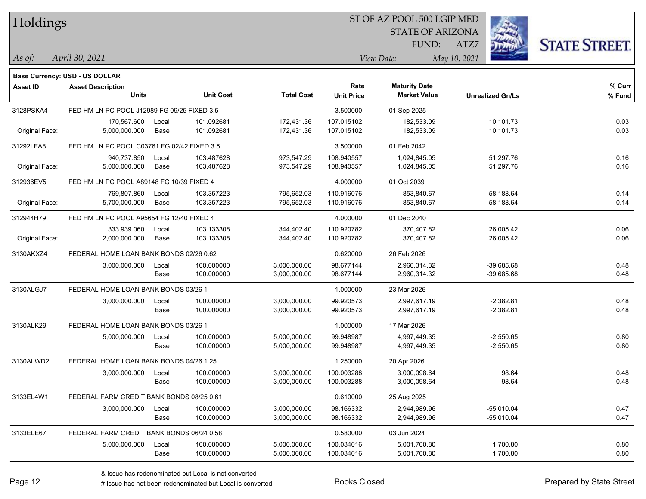| Holdings        |                                             |       |                  |                   |                   | ST OF AZ POOL 500 LGIP MED |                         |                      |
|-----------------|---------------------------------------------|-------|------------------|-------------------|-------------------|----------------------------|-------------------------|----------------------|
|                 |                                             |       |                  |                   |                   | <b>STATE OF ARIZONA</b>    |                         |                      |
|                 |                                             |       |                  |                   |                   | FUND:                      | ATZ7                    | <b>STATE STREET.</b> |
| As of:          | April 30, 2021                              |       |                  |                   |                   | View Date:                 | May 10, 2021            |                      |
|                 | Base Currency: USD - US DOLLAR              |       |                  |                   |                   |                            |                         |                      |
| <b>Asset ID</b> | <b>Asset Description</b>                    |       |                  |                   | Rate              | <b>Maturity Date</b>       |                         | $%$ Curr             |
|                 | <b>Units</b>                                |       | <b>Unit Cost</b> | <b>Total Cost</b> | <b>Unit Price</b> | <b>Market Value</b>        | <b>Unrealized Gn/Ls</b> | % Fund               |
| 3128PSKA4       | FED HM LN PC POOL J12989 FG 09/25 FIXED 3.5 |       |                  |                   | 3.500000          | 01 Sep 2025                |                         |                      |
|                 | 170,567.600                                 | Local | 101.092681       | 172,431.36        | 107.015102        | 182.533.09                 | 10,101.73               | 0.03                 |
| Original Face:  | 5,000,000.000                               | Base  | 101.092681       | 172,431.36        | 107.015102        | 182,533.09                 | 10,101.73               | 0.03                 |
| 31292LFA8       | FED HM LN PC POOL C03761 FG 02/42 FIXED 3.5 |       |                  |                   | 3.500000          | 01 Feb 2042                |                         |                      |
|                 | 940,737.850                                 | Local | 103.487628       | 973,547.29        | 108.940557        | 1,024,845.05               | 51,297.76               | 0.16                 |
| Original Face:  | 5,000,000.000                               | Base  | 103.487628       | 973,547.29        | 108.940557        | 1,024,845.05               | 51,297.76               | 0.16                 |
| 312936EV5       | FED HM LN PC POOL A89148 FG 10/39 FIXED 4   |       |                  |                   | 4.000000          | 01 Oct 2039                |                         |                      |
|                 | 769,807.860                                 | Local | 103.357223       | 795,652.03        | 110.916076        | 853,840.67                 | 58,188.64               | 0.14                 |
| Original Face:  | 5,700,000.000                               | Base  | 103.357223       | 795,652.03        | 110.916076        | 853,840.67                 | 58,188.64               | 0.14                 |
| 312944H79       | FED HM LN PC POOL A95654 FG 12/40 FIXED 4   |       |                  |                   | 4.000000          | 01 Dec 2040                |                         |                      |
|                 | 333,939.060                                 | Local | 103.133308       | 344,402.40        | 110.920782        | 370,407.82                 | 26,005.42               | 0.06                 |
| Original Face:  | 2,000,000.000                               | Base  | 103.133308       | 344,402.40        | 110.920782        | 370,407.82                 | 26,005.42               | 0.06                 |
| 3130AKXZ4       | FEDERAL HOME LOAN BANK BONDS 02/26 0.62     |       |                  |                   | 0.620000          | 26 Feb 2026                |                         |                      |
|                 | 3,000,000.000                               | Local | 100.000000       | 3,000,000.00      | 98.677144         | 2,960,314.32               | $-39,685.68$            | 0.48                 |
|                 |                                             | Base  | 100.000000       | 3,000,000.00      | 98.677144         | 2,960,314.32               | $-39,685.68$            | 0.48                 |
| 3130ALGJ7       | FEDERAL HOME LOAN BANK BONDS 03/26 1        |       |                  |                   | 1.000000          | 23 Mar 2026                |                         |                      |
|                 | 3,000,000.000                               | Local | 100.000000       | 3,000,000.00      | 99.920573         | 2,997,617.19               | $-2,382.81$             | 0.48                 |
|                 |                                             | Base  | 100.000000       | 3,000,000.00      | 99.920573         | 2,997,617.19               | $-2,382.81$             | 0.48                 |
| 3130ALK29       | FEDERAL HOME LOAN BANK BONDS 03/26 1        |       |                  |                   | 1.000000          | 17 Mar 2026                |                         |                      |
|                 | 5,000,000.000                               | Local | 100.000000       | 5,000,000.00      | 99.948987         | 4,997,449.35               | $-2,550.65$             | 0.80                 |
|                 |                                             | Base  | 100.000000       | 5,000,000.00      | 99.948987         | 4,997,449.35               | $-2,550.65$             | 0.80                 |
| 3130ALWD2       | FEDERAL HOME LOAN BANK BONDS 04/26 1.25     |       |                  |                   | 1.250000          | 20 Apr 2026                |                         |                      |
|                 | 3,000,000.000                               | Local | 100.000000       | 3,000,000.00      | 100.003288        | 3,000,098.64               | 98.64                   | 0.48                 |
|                 |                                             | Base  | 100.000000       | 3,000,000.00      | 100.003288        | 3,000,098.64               | 98.64                   | 0.48                 |
| 3133EL4W1       | FEDERAL FARM CREDIT BANK BONDS 08/25 0.61   |       |                  |                   | 0.610000          | 25 Aug 2025                |                         |                      |
|                 | 3,000,000.000                               | Local | 100.000000       | 3,000,000.00      | 98.166332         | 2,944,989.96               | $-55,010.04$            | 0.47                 |
|                 |                                             | Base  | 100.000000       | 3,000,000.00      | 98.166332         | 2,944,989.96               | $-55,010.04$            | 0.47                 |
| 3133ELE67       | FEDERAL FARM CREDIT BANK BONDS 06/24 0.58   |       |                  |                   | 0.580000          | 03 Jun 2024                |                         |                      |
|                 | 5,000,000.000                               | Local | 100.000000       | 5,000,000.00      | 100.034016        | 5,001,700.80               | 1,700.80                | 0.80                 |
|                 |                                             | Base  | 100.000000       | 5,000,000.00      | 100.034016        | 5,001,700.80               | 1,700.80                | 0.80                 |

 $\overline{\phantom{0}}$ 

 $\overline{\phantom{a}}$ 

 $\overline{\phantom{0}}$ 

 $\overline{\phantom{a}}$ 

 $\overline{\phantom{0}}$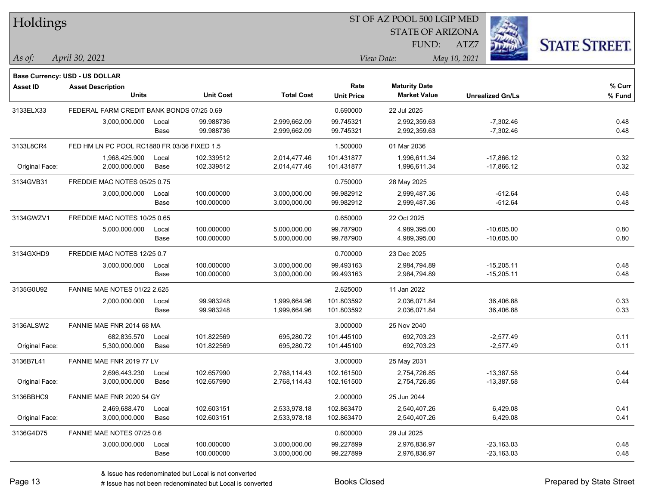| Holdings        |                                             |       |                  |                   |                   | ST OF AZ POOL 500 LGIP MED |                         |                      |
|-----------------|---------------------------------------------|-------|------------------|-------------------|-------------------|----------------------------|-------------------------|----------------------|
|                 |                                             |       |                  |                   |                   | <b>STATE OF ARIZONA</b>    |                         |                      |
|                 |                                             |       |                  |                   |                   | FUND:                      | ATZ7                    | <b>STATE STREET.</b> |
| $\vert$ As of:  | April 30, 2021                              |       |                  |                   |                   | View Date:                 | May 10, 2021            |                      |
|                 | Base Currency: USD - US DOLLAR              |       |                  |                   |                   |                            |                         |                      |
| <b>Asset ID</b> | <b>Asset Description</b>                    |       |                  |                   | Rate              | <b>Maturity Date</b>       |                         | % Curr               |
|                 | <b>Units</b>                                |       | <b>Unit Cost</b> | <b>Total Cost</b> | <b>Unit Price</b> | <b>Market Value</b>        | <b>Unrealized Gn/Ls</b> | % Fund               |
| 3133ELX33       | FEDERAL FARM CREDIT BANK BONDS 07/25 0.69   |       |                  |                   | 0.690000          | 22 Jul 2025                |                         |                      |
|                 | 3,000,000.000                               | Local | 99.988736        | 2,999,662.09      | 99.745321         | 2,992,359.63               | $-7,302.46$             | 0.48                 |
|                 |                                             | Base  | 99.988736        | 2,999,662.09      | 99.745321         | 2,992,359.63               | $-7,302.46$             | 0.48                 |
| 3133L8CR4       | FED HM LN PC POOL RC1880 FR 03/36 FIXED 1.5 |       |                  |                   | 1.500000          | 01 Mar 2036                |                         |                      |
|                 | 1,968,425.900                               | Local | 102.339512       | 2,014,477.46      | 101.431877        | 1,996,611.34               | $-17,866.12$            | 0.32                 |
| Original Face:  | 2,000,000.000                               | Base  | 102.339512       | 2,014,477.46      | 101.431877        | 1,996,611.34               | $-17,866.12$            | 0.32                 |
| 3134GVB31       | FREDDIE MAC NOTES 05/25 0.75                |       |                  |                   | 0.750000          | 28 May 2025                |                         |                      |
|                 | 3,000,000.000                               | Local | 100.000000       | 3,000,000.00      | 99.982912         | 2,999,487.36               | $-512.64$               | 0.48                 |
|                 |                                             | Base  | 100.000000       | 3,000,000.00      | 99.982912         | 2,999,487.36               | $-512.64$               | 0.48                 |
| 3134GWZV1       | FREDDIE MAC NOTES 10/25 0.65                |       |                  |                   | 0.650000          | 22 Oct 2025                |                         |                      |
|                 | 5,000,000.000                               | Local | 100.000000       | 5,000,000.00      | 99.787900         | 4,989,395.00               | $-10,605.00$            | 0.80                 |
|                 |                                             | Base  | 100.000000       | 5,000,000.00      | 99.787900         | 4,989,395.00               | $-10,605.00$            | 0.80                 |
| 3134GXHD9       | FREDDIE MAC NOTES 12/25 0.7                 |       |                  |                   | 0.700000          | 23 Dec 2025                |                         |                      |
|                 | 3,000,000.000                               | Local | 100.000000       | 3,000,000.00      | 99.493163         | 2,984,794.89               | $-15,205.11$            | 0.48                 |
|                 |                                             | Base  | 100.000000       | 3,000,000.00      | 99.493163         | 2,984,794.89               | $-15,205.11$            | 0.48                 |
| 3135G0U92       | <b>FANNIE MAE NOTES 01/22 2.625</b>         |       |                  |                   | 2.625000          | 11 Jan 2022                |                         |                      |
|                 | 2,000,000.000                               | Local | 99.983248        | 1,999,664.96      | 101.803592        | 2,036,071.84               | 36,406.88               | 0.33                 |
|                 |                                             | Base  | 99.983248        | 1,999,664.96      | 101.803592        | 2,036,071.84               | 36,406.88               | 0.33                 |
| 3136ALSW2       | FANNIE MAE FNR 2014 68 MA                   |       |                  |                   | 3.000000          | 25 Nov 2040                |                         |                      |
|                 | 682,835.570                                 | Local | 101.822569       | 695,280.72        | 101.445100        | 692,703.23                 | $-2,577.49$             | 0.11                 |
| Original Face:  | 5,300,000.000                               | Base  | 101.822569       | 695,280.72        | 101.445100        | 692,703.23                 | $-2,577.49$             | 0.11                 |
| 3136B7L41       | FANNIE MAE FNR 2019 77 LV                   |       |                  |                   | 3.000000          | 25 May 2031                |                         |                      |
|                 | 2,696,443.230                               | Local | 102.657990       | 2,768,114.43      | 102.161500        | 2.754.726.85               | $-13,387.58$            | 0.44                 |
| Original Face:  | 3,000,000.000                               | Base  | 102.657990       | 2,768,114.43      | 102.161500        | 2,754,726.85               | $-13,387.58$            | 0.44                 |
| 3136BBHC9       | FANNIE MAE FNR 2020 54 GY                   |       |                  |                   | 2.000000          | 25 Jun 2044                |                         |                      |
|                 | 2,469,688.470                               | Local | 102.603151       | 2,533,978.18      | 102.863470        | 2,540,407.26               | 6,429.08                | 0.41                 |
| Original Face:  | 3,000,000.000                               | Base  | 102.603151       | 2,533,978.18      | 102.863470        | 2,540,407.26               | 6,429.08                | 0.41                 |
| 3136G4D75       | FANNIE MAE NOTES 07/25 0.6                  |       |                  |                   | 0.600000          | 29 Jul 2025                |                         |                      |
|                 | 3,000,000.000                               | Local | 100.000000       | 3,000,000.00      | 99.227899         | 2,976,836.97               | $-23,163.03$            | 0.48                 |
|                 |                                             | Base  | 100.000000       | 3,000,000.00      | 99.227899         | 2,976,836.97               | $-23,163.03$            | 0.48                 |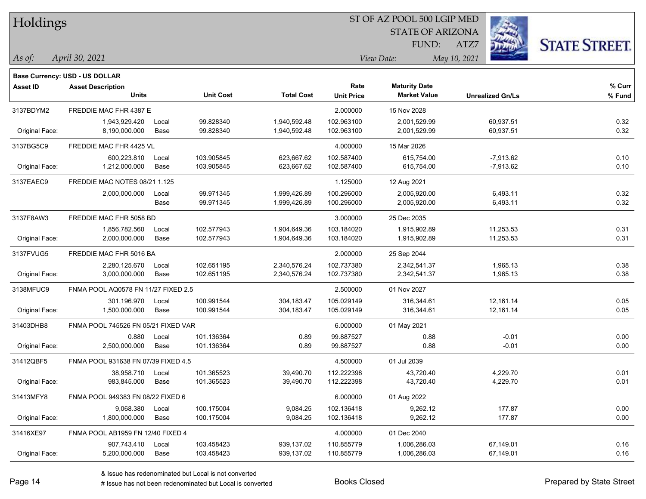| Holdings        |                                          |       |                  |                   |                   | ST OF AZ POOL 500 LGIP MED |              |                         |                      |
|-----------------|------------------------------------------|-------|------------------|-------------------|-------------------|----------------------------|--------------|-------------------------|----------------------|
|                 |                                          |       |                  |                   |                   | <b>STATE OF ARIZONA</b>    |              |                         |                      |
|                 |                                          |       |                  |                   |                   | FUND:                      | ATZ7         |                         | <b>STATE STREET.</b> |
| $\vert$ As of:  | April 30, 2021                           |       |                  |                   |                   | View Date:                 | May 10, 2021 |                         |                      |
|                 |                                          |       |                  |                   |                   |                            |              |                         |                      |
|                 | Base Currency: USD - US DOLLAR           |       |                  |                   | Rate              | <b>Maturity Date</b>       |              |                         | % Curr               |
| <b>Asset ID</b> | <b>Asset Description</b><br><b>Units</b> |       | <b>Unit Cost</b> | <b>Total Cost</b> | <b>Unit Price</b> | <b>Market Value</b>        |              | <b>Unrealized Gn/Ls</b> | % Fund               |
| 3137BDYM2       | FREDDIE MAC FHR 4387 E                   |       |                  |                   | 2.000000          | 15 Nov 2028                |              |                         |                      |
|                 | 1,943,929.420                            | Local | 99.828340        | 1,940,592.48      | 102.963100        | 2,001,529.99               |              | 60,937.51               | 0.32                 |
| Original Face:  | 8,190,000.000                            | Base  | 99.828340        | 1,940,592.48      | 102.963100        | 2,001,529.99               |              | 60,937.51               | 0.32                 |
| 3137BG5C9       | FREDDIE MAC FHR 4425 VL                  |       |                  |                   | 4.000000          | 15 Mar 2026                |              |                         |                      |
|                 | 600,223.810                              | Local | 103.905845       | 623,667.62        | 102.587400        | 615,754.00                 |              | $-7,913.62$             | 0.10                 |
| Original Face:  | 1,212,000.000                            | Base  | 103.905845       | 623,667.62        | 102.587400        | 615,754.00                 |              | $-7,913.62$             | 0.10                 |
| 3137EAEC9       | FREDDIE MAC NOTES 08/21 1.125            |       |                  |                   | 1.125000          | 12 Aug 2021                |              |                         |                      |
|                 | 2,000,000.000                            | Local | 99.971345        | 1,999,426.89      | 100.296000        | 2,005,920.00               |              | 6,493.11                | 0.32                 |
|                 |                                          | Base  | 99.971345        | 1,999,426.89      | 100.296000        | 2,005,920.00               |              | 6,493.11                | 0.32                 |
| 3137F8AW3       | FREDDIE MAC FHR 5058 BD                  |       |                  |                   | 3.000000          | 25 Dec 2035                |              |                         |                      |
|                 | 1,856,782.560                            | Local | 102.577943       | 1,904,649.36      | 103.184020        | 1,915,902.89               |              | 11,253.53               | 0.31                 |
| Original Face:  | 2,000,000.000                            | Base  | 102.577943       | 1,904,649.36      | 103.184020        | 1,915,902.89               |              | 11,253.53               | 0.31                 |
| 3137FVUG5       | FREDDIE MAC FHR 5016 BA                  |       |                  |                   | 2.000000          | 25 Sep 2044                |              |                         |                      |
|                 | 2,280,125.670                            | Local | 102.651195       | 2,340,576.24      | 102.737380        | 2,342,541.37               |              | 1,965.13                | 0.38                 |
| Original Face:  | 3,000,000.000                            | Base  | 102.651195       | 2,340,576.24      | 102.737380        | 2,342,541.37               |              | 1,965.13                | 0.38                 |
| 3138MFUC9       | FNMA POOL AQ0578 FN 11/27 FIXED 2.5      |       |                  |                   | 2.500000          | 01 Nov 2027                |              |                         |                      |
|                 | 301,196.970                              | Local | 100.991544       | 304,183.47        | 105.029149        | 316,344.61                 |              | 12,161.14               | 0.05                 |
| Original Face:  | 1,500,000.000                            | Base  | 100.991544       | 304, 183.47       | 105.029149        | 316,344.61                 |              | 12,161.14               | 0.05                 |
| 31403DHB8       | FNMA POOL 745526 FN 05/21 FIXED VAR      |       |                  |                   | 6.000000          | 01 May 2021                |              |                         |                      |
|                 | 0.880                                    | Local | 101.136364       | 0.89              | 99.887527         | 0.88                       |              | $-0.01$                 | 0.00                 |
| Original Face:  | 2,500,000.000                            | Base  | 101.136364       | 0.89              | 99.887527         | 0.88                       |              | $-0.01$                 | 0.00                 |
| 31412QBF5       | FNMA POOL 931638 FN 07/39 FIXED 4.5      |       |                  |                   | 4.500000          | 01 Jul 2039                |              |                         |                      |
|                 | 38,958.710                               | Local | 101.365523       | 39,490.70         | 112.222398        | 43,720.40                  |              | 4,229.70                | 0.01                 |
| Original Face:  | 983,845.000                              | Base  | 101.365523       | 39,490.70         | 112.222398        | 43,720.40                  |              | 4,229.70                | 0.01                 |
| 31413MFY8       | FNMA POOL 949383 FN 08/22 FIXED 6        |       |                  |                   | 6.000000          | 01 Aug 2022                |              |                         |                      |
|                 | 9,068.380                                | Local | 100.175004       | 9,084.25          | 102.136418        | 9,262.12                   |              | 177.87                  | 0.00                 |
| Original Face:  | 1,800,000.000                            | Base  | 100.175004       | 9,084.25          | 102.136418        | 9,262.12                   |              | 177.87                  | 0.00                 |
| 31416XE97       | FNMA POOL AB1959 FN 12/40 FIXED 4        |       |                  |                   | 4.000000          | 01 Dec 2040                |              |                         |                      |
|                 | 907,743.410                              | Local | 103.458423       | 939,137.02        | 110.855779        | 1,006,286.03               |              | 67,149.01               | 0.16                 |
| Original Face:  | 5,200,000.000                            | Base  | 103.458423       | 939,137.02        | 110.855779        | 1,006,286.03               |              | 67,149.01               | 0.16                 |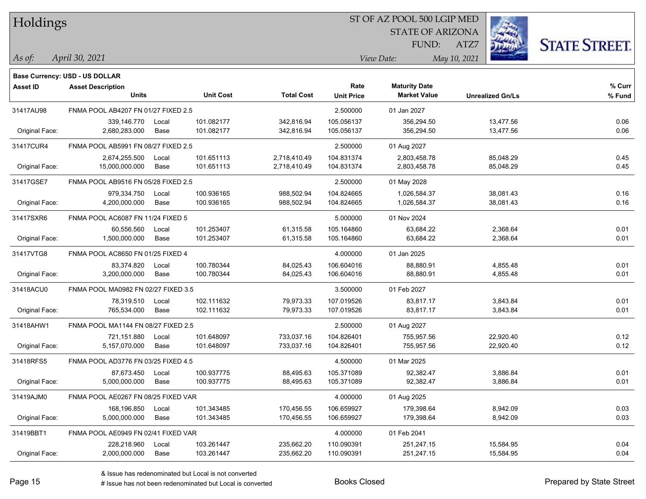| Holdings |  |
|----------|--|
|----------|--|

STATE OF ARIZONA FUND:



**% Fund**

**% Curr**

*April 30, 2021 As of: View Date: May 10, 2021*

**Base Currency: USD - US DOLLAR**

**Asset ID Asset Description** Units

ATZ7

| Units                | <b>Unit Cost</b> | <b>Total Cost</b> | Rate<br><b>Unit Price</b> | <b>Maturity Date</b><br><b>Market Value</b> | <b>Unrealized Gn/Ls</b> |
|----------------------|------------------|-------------------|---------------------------|---------------------------------------------|-------------------------|
| 7 FN 01/27 FIXED 2.5 |                  |                   | 2.500000                  | 01 Jan 2027                                 |                         |

| 31417AU98      | FNMA POOL AB4207 FN 01/27 FIXED 2.5 |       |            |              | 2.500000   | 01 Jan 2027  |           |      |
|----------------|-------------------------------------|-------|------------|--------------|------------|--------------|-----------|------|
|                | 339.146.770                         | Local | 101.082177 | 342,816.94   | 105.056137 | 356,294.50   | 13,477.56 | 0.06 |
| Original Face: | 2,680,283.000                       | Base  | 101.082177 | 342,816.94   | 105.056137 | 356,294.50   | 13,477.56 | 0.06 |
| 31417CUR4      | FNMA POOL AB5991 FN 08/27 FIXED 2.5 |       |            |              | 2.500000   | 01 Aug 2027  |           |      |
|                | 2,674,255.500                       | Local | 101.651113 | 2,718,410.49 | 104.831374 | 2,803,458.78 | 85,048.29 | 0.45 |
| Original Face: | 15,000,000.000                      | Base  | 101.651113 | 2,718,410.49 | 104.831374 | 2,803,458.78 | 85,048.29 | 0.45 |
| 31417GSE7      | FNMA POOL AB9516 FN 05/28 FIXED 2.5 |       |            |              | 2.500000   | 01 May 2028  |           |      |
|                | 979,334.750                         | Local | 100.936165 | 988,502.94   | 104.824665 | 1,026,584.37 | 38,081.43 | 0.16 |
| Original Face: | 4,200,000.000                       | Base  | 100.936165 | 988,502.94   | 104.824665 | 1,026,584.37 | 38,081.43 | 0.16 |
| 31417SXR6      | FNMA POOL AC6087 FN 11/24 FIXED 5   |       |            |              | 5.000000   | 01 Nov 2024  |           |      |
|                | 60,556.560                          | Local | 101.253407 | 61,315.58    | 105.164860 | 63,684.22    | 2,368.64  | 0.01 |
| Original Face: | 1,500,000.000                       | Base  | 101.253407 | 61,315.58    | 105.164860 | 63,684.22    | 2,368.64  | 0.01 |
| 31417VTG8      | FNMA POOL AC8650 FN 01/25 FIXED 4   |       |            |              | 4.000000   | 01 Jan 2025  |           |      |
|                | 83.374.820                          | Local | 100.780344 | 84,025.43    | 106.604016 | 88,880.91    | 4,855.48  | 0.01 |
| Original Face: | 3,200,000.000                       | Base  | 100.780344 | 84,025.43    | 106.604016 | 88,880.91    | 4,855.48  | 0.01 |
| 31418ACU0      | FNMA POOL MA0982 FN 02/27 FIXED 3.5 |       |            |              | 3.500000   | 01 Feb 2027  |           |      |
|                | 78,319.510                          | Local | 102.111632 | 79,973.33    | 107.019526 | 83,817.17    | 3,843.84  | 0.01 |
| Original Face: | 765,534.000                         | Base  | 102.111632 | 79,973.33    | 107.019526 | 83,817.17    | 3,843.84  | 0.01 |
| 31418AHW1      | FNMA POOL MA1144 FN 08/27 FIXED 2.5 |       |            |              | 2.500000   | 01 Aug 2027  |           |      |
|                | 721,151.880                         | Local | 101.648097 | 733,037.16   | 104.826401 | 755,957.56   | 22,920.40 | 0.12 |
| Original Face: | 5,157,070.000                       | Base  | 101.648097 | 733,037.16   | 104.826401 | 755,957.56   | 22,920.40 | 0.12 |
| 31418RFS5      | FNMA POOL AD3776 FN 03/25 FIXED 4.5 |       |            |              | 4.500000   | 01 Mar 2025  |           |      |
|                | 87,673.450                          | Local | 100.937775 | 88,495.63    | 105.371089 | 92,382.47    | 3,886.84  | 0.01 |
| Original Face: | 5,000,000.000                       | Base  | 100.937775 | 88,495.63    | 105.371089 | 92,382.47    | 3,886.84  | 0.01 |
| 31419AJM0      | FNMA POOL AE0267 FN 08/25 FIXED VAR |       |            |              | 4.000000   | 01 Aug 2025  |           |      |
|                | 168,196.850                         | Local | 101.343485 | 170,456.55   | 106.659927 | 179,398.64   | 8,942.09  | 0.03 |
| Original Face: | 5,000,000.000                       | Base  | 101.343485 | 170,456.55   | 106.659927 | 179,398.64   | 8,942.09  | 0.03 |
| 31419BBT1      | FNMA POOL AE0949 FN 02/41 FIXED VAR |       |            |              | 4.000000   | 01 Feb 2041  |           |      |
|                | 228,218.960                         | Local | 103.261447 | 235,662.20   | 110.090391 | 251,247.15   | 15,584.95 | 0.04 |
| Original Face: | 2,000,000.000                       | Base  | 103.261447 | 235,662.20   | 110.090391 | 251,247.15   | 15,584.95 | 0.04 |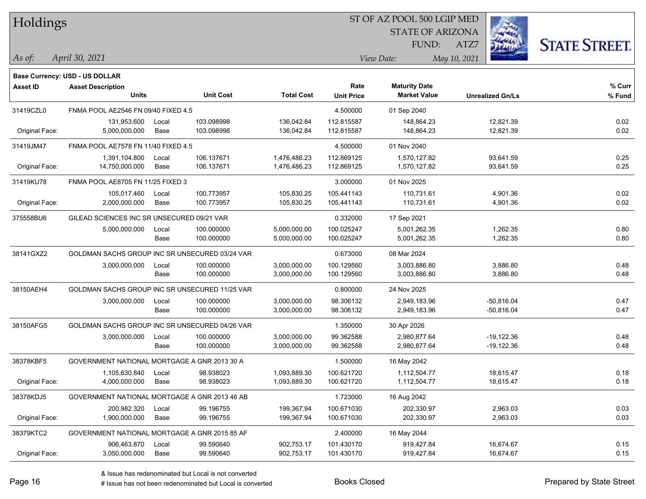| Holdings        |                                                |       |                  |                   |                   | ST OF AZ POOL 500 LGIP MED |                         |                      |  |
|-----------------|------------------------------------------------|-------|------------------|-------------------|-------------------|----------------------------|-------------------------|----------------------|--|
|                 |                                                |       |                  |                   |                   | <b>STATE OF ARIZONA</b>    |                         |                      |  |
|                 |                                                |       |                  |                   |                   | FUND:                      | ATZ7                    | <b>STATE STREET.</b> |  |
| As of:          | April 30, 2021                                 |       |                  |                   |                   | View Date:                 | May 10, 2021            |                      |  |
|                 | Base Currency: USD - US DOLLAR                 |       |                  |                   |                   |                            |                         |                      |  |
| <b>Asset ID</b> | <b>Asset Description</b>                       |       |                  |                   | Rate              | <b>Maturity Date</b>       |                         | $%$ Curr             |  |
|                 | Units                                          |       | <b>Unit Cost</b> | <b>Total Cost</b> | <b>Unit Price</b> | <b>Market Value</b>        | <b>Unrealized Gn/Ls</b> | % Fund               |  |
| 31419CZL0       | FNMA POOL AE2546 FN 09/40 FIXED 4.5            |       |                  |                   | 4.500000          | 01 Sep 2040                |                         |                      |  |
|                 | 131,953.600                                    | Local | 103.098998       | 136,042.84        | 112.815587        | 148,864.23                 | 12,821.39               | 0.02                 |  |
| Original Face:  | 5,000,000.000                                  | Base  | 103.098998       | 136,042.84        | 112.815587        | 148,864.23                 | 12,821.39               | 0.02                 |  |
| 31419JM47       | FNMA POOL AE7578 FN 11/40 FIXED 4.5            |       |                  |                   | 4.500000          | 01 Nov 2040                |                         |                      |  |
|                 | 1,391,104.800                                  | Local | 106.137671       | 1,476,486.23      | 112.869125        | 1,570,127.82               | 93,641.59               | 0.25                 |  |
| Original Face:  | 14,750,000.000                                 | Base  | 106.137671       | 1,476,486.23      | 112.869125        | 1,570,127.82               | 93,641.59               | 0.25                 |  |
| 31419KU78       | FNMA POOL AE8705 FN 11/25 FIXED 3              |       |                  |                   | 3.000000          | 01 Nov 2025                |                         |                      |  |
|                 | 105,017.460                                    | Local | 100.773957       | 105,830.25        | 105.441143        | 110,731.61                 | 4,901.36                | 0.02                 |  |
| Original Face:  | 2,000,000.000                                  | Base  | 100.773957       | 105,830.25        | 105.441143        | 110,731.61                 | 4,901.36                | 0.02                 |  |
| 375558BU6       | GILEAD SCIENCES INC SR UNSECURED 09/21 VAR     |       |                  |                   | 0.332000          | 17 Sep 2021                |                         |                      |  |
|                 | 5,000,000.000                                  | Local | 100.000000       | 5,000,000.00      | 100.025247        | 5,001,262.35               | 1,262.35                | 0.80                 |  |
|                 |                                                | Base  | 100.000000       | 5,000,000.00      | 100.025247        | 5,001,262.35               | 1,262.35                | 0.80                 |  |
| 38141GXZ2       | GOLDMAN SACHS GROUP INC SR UNSECURED 03/24 VAR |       |                  |                   | 0.673000          | 08 Mar 2024                |                         |                      |  |
|                 | 3,000,000.000                                  | Local | 100.000000       | 3,000,000.00      | 100.129560        | 3,003,886.80               | 3,886.80                | 0.48                 |  |
|                 |                                                | Base  | 100.000000       | 3,000,000.00      | 100.129560        | 3,003,886.80               | 3,886.80                | 0.48                 |  |
| 38150AEH4       | GOLDMAN SACHS GROUP INC SR UNSECURED 11/25 VAR |       |                  |                   | 0.800000          | 24 Nov 2025                |                         |                      |  |
|                 | 3,000,000.000                                  | Local | 100.000000       | 3,000,000.00      | 98.306132         | 2,949,183.96               | $-50,816.04$            | 0.47                 |  |
|                 |                                                | Base  | 100.000000       | 3,000,000.00      | 98.306132         | 2,949,183.96               | $-50,816.04$            | 0.47                 |  |
| 38150AFG5       | GOLDMAN SACHS GROUP INC SR UNSECURED 04/26 VAR |       |                  |                   | 1.350000          | 30 Apr 2026                |                         |                      |  |
|                 | 3,000,000.000                                  | Local | 100.000000       | 3,000,000.00      | 99.362588         | 2,980,877.64               | $-19,122.36$            | 0.48                 |  |
|                 |                                                | Base  | 100.000000       | 3,000,000.00      | 99.362588         | 2,980,877.64               | $-19,122.36$            | 0.48                 |  |
| 38378KBF5       | GOVERNMENT NATIONAL MORTGAGE A GNR 2013 30 A   |       |                  |                   | 1.500000          | 16 May 2042                |                         |                      |  |
|                 | 1,105,630.840                                  | Local | 98.938023        | 1,093,889.30      | 100.621720        | 1,112,504.77               | 18,615.47               | 0.18                 |  |
| Original Face:  | 4,000,000.000                                  | Base  | 98.938023        | 1,093,889.30      | 100.621720        | 1,112,504.77               | 18,615.47               | 0.18                 |  |
| 38378KDJ5       | GOVERNMENT NATIONAL MORTGAGE A GNR 2013 46 AB  |       |                  |                   | 1.723000          | 16 Aug 2042                |                         |                      |  |
|                 | 200,982.320                                    | Local | 99.196755        | 199,367.94        | 100.671030        | 202,330.97                 | 2,963.03                | 0.03                 |  |
| Original Face:  | 1,900,000.000                                  | Base  | 99.196755        | 199,367.94        | 100.671030        | 202,330.97                 | 2,963.03                | 0.03                 |  |
| 38379KTC2       | GOVERNMENT NATIONAL MORTGAGE A GNR 2015 85 AF  |       |                  |                   | 2.400000          | 16 May 2044                |                         |                      |  |
|                 | 906,463.870                                    | Local | 99.590640        | 902,753.17        | 101.430170        | 919,427.84                 | 16,674.67               | 0.15                 |  |
| Original Face:  | 3,050,000.000                                  | Base  | 99.590640        | 902,753.17        | 101.430170        | 919,427.84                 | 16,674.67               | 0.15                 |  |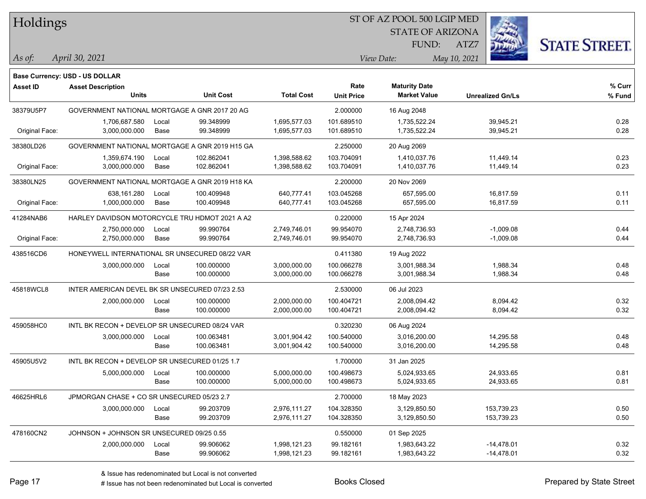| Holdings |
|----------|
|          |

STATE OF ARIZONA FUND:



*April 30, 2021 As of: View Date: May 10, 2021*

**Base Currency: USD - US DOLLAR**

ATZ7

| Asset ID       | <b>Asset Description</b><br><b>Units</b>        |       | <b>Unit Cost</b> | <b>Total Cost</b> | Rate<br><b>Unit Price</b> | <b>Maturity Date</b><br><b>Market Value</b> | <b>Unrealized Gn/Ls</b> | % Curr<br>% Fund |
|----------------|-------------------------------------------------|-------|------------------|-------------------|---------------------------|---------------------------------------------|-------------------------|------------------|
| 38379U5P7      | GOVERNMENT NATIONAL MORTGAGE A GNR 2017 20 AG   |       |                  |                   | 2.000000                  | 16 Aug 2048                                 |                         |                  |
|                | 1,706,687.580                                   | Local | 99.348999        | 1,695,577.03      | 101.689510                | 1,735,522.24                                | 39,945.21               | 0.28             |
| Original Face: | 3,000,000.000                                   | Base  | 99.348999        | 1,695,577.03      | 101.689510                | 1,735,522.24                                | 39,945.21               | 0.28             |
| 38380LD26      | GOVERNMENT NATIONAL MORTGAGE A GNR 2019 H15 GA  |       |                  |                   | 2.250000                  | 20 Aug 2069                                 |                         |                  |
|                | 1,359,674.190                                   | Local | 102.862041       | 1,398,588.62      | 103.704091                | 1,410,037.76                                | 11,449.14               | 0.23             |
| Original Face: | 3,000,000.000                                   | Base  | 102.862041       | 1,398,588.62      | 103.704091                | 1,410,037.76                                | 11,449.14               | 0.23             |
| 38380LN25      | GOVERNMENT NATIONAL MORTGAGE A GNR 2019 H18 KA  |       |                  |                   | 2.200000                  | 20 Nov 2069                                 |                         |                  |
|                | 638,161.280                                     | Local | 100.409948       | 640,777.41        | 103.045268                | 657,595.00                                  | 16,817.59               | 0.11             |
| Original Face: | 1,000,000.000                                   | Base  | 100.409948       | 640,777.41        | 103.045268                | 657,595.00                                  | 16,817.59               | 0.11             |
| 41284NAB6      | HARLEY DAVIDSON MOTORCYCLE TRU HDMOT 2021 A A2  |       |                  |                   | 0.220000                  | 15 Apr 2024                                 |                         |                  |
|                | 2,750,000.000                                   | Local | 99.990764        | 2,749,746.01      | 99.954070                 | 2,748,736.93                                | $-1,009.08$             | 0.44             |
| Original Face: | 2,750,000.000                                   | Base  | 99.990764        | 2,749,746.01      | 99.954070                 | 2,748,736.93                                | $-1,009.08$             | 0.44             |
| 438516CD6      | HONEYWELL INTERNATIONAL SR UNSECURED 08/22 VAR  |       |                  |                   | 0.411380                  | 19 Aug 2022                                 |                         |                  |
|                | 3,000,000.000                                   | Local | 100.000000       | 3,000,000.00      | 100.066278                | 3.001.988.34                                | 1,988.34                | 0.48             |
|                |                                                 | Base  | 100.000000       | 3,000,000.00      | 100.066278                | 3,001,988.34                                | 1,988.34                | 0.48             |
| 45818WCL8      | INTER AMERICAN DEVEL BK SR UNSECURED 07/23 2.53 |       |                  | 2.530000          | 06 Jul 2023               |                                             |                         |                  |
|                | 2,000,000.000                                   | Local | 100.000000       | 2,000,000.00      | 100.404721                | 2,008,094.42                                | 8,094.42                | 0.32             |
|                |                                                 | Base  | 100.000000       | 2,000,000.00      | 100.404721                | 2,008,094.42                                | 8,094.42                | 0.32             |
| 459058HC0      | INTL BK RECON + DEVELOP SR UNSECURED 08/24 VAR  |       |                  |                   | 0.320230                  | 06 Aug 2024                                 |                         |                  |
|                | 3,000,000.000                                   | Local | 100.063481       | 3,001,904.42      | 100.540000                | 3,016,200.00                                | 14,295.58               | 0.48             |
|                |                                                 | Base  | 100.063481       | 3,001,904.42      | 100.540000                | 3,016,200.00                                | 14,295.58               | 0.48             |
| 45905U5V2      | INTL BK RECON + DEVELOP SR UNSECURED 01/25 1.7  |       |                  |                   | 1.700000                  | 31 Jan 2025                                 |                         |                  |
|                | 5,000,000.000                                   | Local | 100.000000       | 5,000,000.00      | 100.498673                | 5,024,933.65                                | 24,933.65               | 0.81             |
|                |                                                 | Base  | 100.000000       | 5,000,000.00      | 100.498673                | 5,024,933.65                                | 24,933.65               | 0.81             |
| 46625HRL6      | JPMORGAN CHASE + CO SR UNSECURED 05/23 2.7      |       |                  |                   | 2.700000                  | 18 May 2023                                 |                         |                  |
|                | 3,000,000.000                                   | Local | 99.203709        | 2,976,111.27      | 104.328350                | 3,129,850.50                                | 153,739.23              | 0.50             |
|                |                                                 | Base  | 99.203709        | 2,976,111.27      | 104.328350                | 3,129,850.50                                | 153,739.23              | 0.50             |
| 478160CN2      | JOHNSON + JOHNSON SR UNSECURED 09/25 0.55       |       |                  |                   | 0.550000                  | 01 Sep 2025                                 |                         |                  |
|                | 2,000,000.000                                   | Local | 99.906062        | 1,998,121.23      | 99.182161                 | 1,983,643.22                                | $-14,478.01$            | 0.32             |
|                |                                                 | Base  | 99.906062        | 1,998,121.23      | 99.182161                 | 1,983,643.22                                | $-14,478.01$            | 0.32             |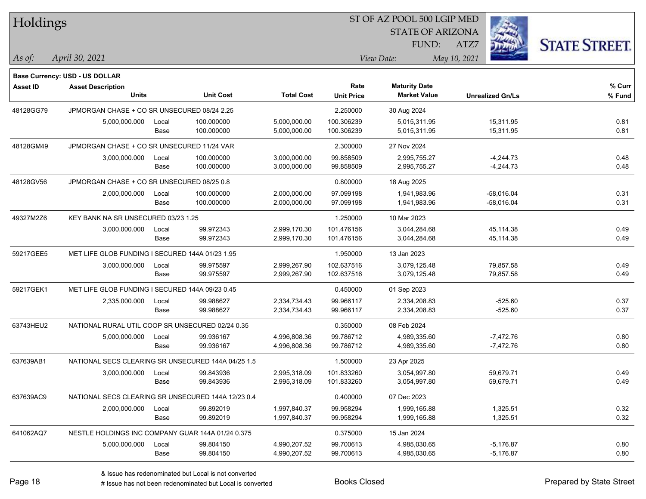| Holdings        |                                                                   |       |                  |                   |                   | ST OF AZ POOL 500 LGIP MED |                         |                      |  |
|-----------------|-------------------------------------------------------------------|-------|------------------|-------------------|-------------------|----------------------------|-------------------------|----------------------|--|
|                 |                                                                   |       |                  |                   |                   | <b>STATE OF ARIZONA</b>    |                         |                      |  |
|                 |                                                                   |       |                  |                   |                   | FUND:                      | ATZ7                    | <b>STATE STREET.</b> |  |
| As of:          | April 30, 2021                                                    |       |                  |                   |                   | View Date:                 | May 10, 2021            |                      |  |
|                 |                                                                   |       |                  |                   |                   |                            |                         |                      |  |
| <b>Asset ID</b> | <b>Base Currency: USD - US DOLLAR</b><br><b>Asset Description</b> |       |                  |                   | Rate              | <b>Maturity Date</b>       |                         | % Curr               |  |
|                 | <b>Units</b>                                                      |       | <b>Unit Cost</b> | <b>Total Cost</b> | <b>Unit Price</b> | <b>Market Value</b>        | <b>Unrealized Gn/Ls</b> | % Fund               |  |
| 48128GG79       | JPMORGAN CHASE + CO SR UNSECURED 08/24 2.25                       |       |                  |                   | 2.250000          | 30 Aug 2024                |                         |                      |  |
|                 | 5,000,000.000                                                     | Local | 100.000000       | 5,000,000.00      | 100.306239        | 5,015,311.95               | 15,311.95               | 0.81                 |  |
|                 |                                                                   | Base  | 100.000000       | 5,000,000.00      | 100.306239        | 5,015,311.95               | 15,311.95               | 0.81                 |  |
| 48128GM49       | JPMORGAN CHASE + CO SR UNSECURED 11/24 VAR                        |       |                  |                   | 2.300000          | 27 Nov 2024                |                         |                      |  |
|                 | 3,000,000.000                                                     | Local | 100.000000       | 3,000,000.00      | 99.858509         | 2,995,755.27               | $-4,244.73$             | 0.48                 |  |
|                 |                                                                   | Base  | 100.000000       | 3,000,000.00      | 99.858509         | 2,995,755.27               | $-4,244.73$             | 0.48                 |  |
| 48128GV56       | JPMORGAN CHASE + CO SR UNSECURED 08/25 0.8                        |       |                  |                   | 0.800000          | 18 Aug 2025                |                         |                      |  |
|                 | 2,000,000.000                                                     | Local | 100.000000       | 2,000,000.00      | 97.099198         | 1,941,983.96               | $-58,016.04$            | 0.31                 |  |
|                 |                                                                   | Base  | 100.000000       | 2,000,000.00      | 97.099198         | 1,941,983.96               | $-58,016.04$            | 0.31                 |  |
| 49327M2Z6       | KEY BANK NA SR UNSECURED 03/23 1.25                               |       |                  |                   | 1.250000          | 10 Mar 2023                |                         |                      |  |
|                 | 3,000,000.000                                                     | Local | 99.972343        | 2,999,170.30      | 101.476156        | 3,044,284.68               | 45,114.38               | 0.49                 |  |
|                 |                                                                   | Base  | 99.972343        | 2,999,170.30      | 101.476156        | 3,044,284.68               | 45,114.38               | 0.49                 |  |
| 59217GEE5       | MET LIFE GLOB FUNDING I SECURED 144A 01/23 1.95                   |       |                  |                   | 1.950000          | 13 Jan 2023                |                         |                      |  |
|                 | 3,000,000.000                                                     | Local | 99.975597        | 2,999,267.90      | 102.637516        | 3,079,125.48               | 79,857.58               | 0.49                 |  |
|                 |                                                                   | Base  | 99.975597        | 2,999,267.90      | 102.637516        | 3,079,125.48               | 79,857.58               | 0.49                 |  |
| 59217GEK1       | MET LIFE GLOB FUNDING I SECURED 144A 09/23 0.45                   |       |                  |                   | 0.450000          | 01 Sep 2023                |                         |                      |  |
|                 | 2,335,000.000                                                     | Local | 99.988627        | 2,334,734.43      | 99.966117         | 2,334,208.83               | $-525.60$               | 0.37                 |  |
|                 |                                                                   | Base  | 99.988627        | 2,334,734.43      | 99.966117         | 2,334,208.83               | $-525.60$               | 0.37                 |  |
| 63743HEU2       | NATIONAL RURAL UTIL COOP SR UNSECURED 02/24 0.35                  |       |                  |                   | 0.350000          | 08 Feb 2024                |                         |                      |  |
|                 | 5,000,000.000                                                     | Local | 99.936167        | 4,996,808.36      | 99.786712         | 4,989,335.60               | $-7,472.76$             | 0.80                 |  |
|                 |                                                                   | Base  | 99.936167        | 4,996,808.36      | 99.786712         | 4,989,335.60               | $-7,472.76$             | 0.80                 |  |
| 637639AB1       | NATIONAL SECS CLEARING SR UNSECURED 144A 04/25 1.5                |       |                  |                   | 1.500000          | 23 Apr 2025                |                         |                      |  |
|                 | 3,000,000.000                                                     | Local | 99.843936        | 2,995,318.09      | 101.833260        | 3,054,997.80               | 59.679.71               | 0.49                 |  |
|                 |                                                                   | Base  | 99.843936        | 2,995,318.09      | 101.833260        | 3,054,997.80               | 59,679.71               | 0.49                 |  |
| 637639AC9       | NATIONAL SECS CLEARING SR UNSECURED 144A 12/23 0.4                |       |                  |                   | 0.400000          | 07 Dec 2023                |                         |                      |  |
|                 | 2,000,000.000                                                     | Local | 99.892019        | 1,997,840.37      | 99.958294         | 1,999,165.88               | 1,325.51                | 0.32                 |  |
|                 |                                                                   | Base  | 99.892019        | 1,997,840.37      | 99.958294         | 1,999,165.88               | 1,325.51                | 0.32                 |  |
| 641062AQ7       | NESTLE HOLDINGS INC COMPANY GUAR 144A 01/24 0.375                 |       |                  |                   | 0.375000          | 15 Jan 2024                |                         |                      |  |
|                 | 5,000,000.000                                                     | Local | 99.804150        | 4,990,207.52      | 99.700613         | 4,985,030.65               | $-5,176.87$             | 0.80                 |  |
|                 |                                                                   | Base  | 99.804150        | 4,990,207.52      | 99.700613         | 4,985,030.65               | $-5,176.87$             | 0.80                 |  |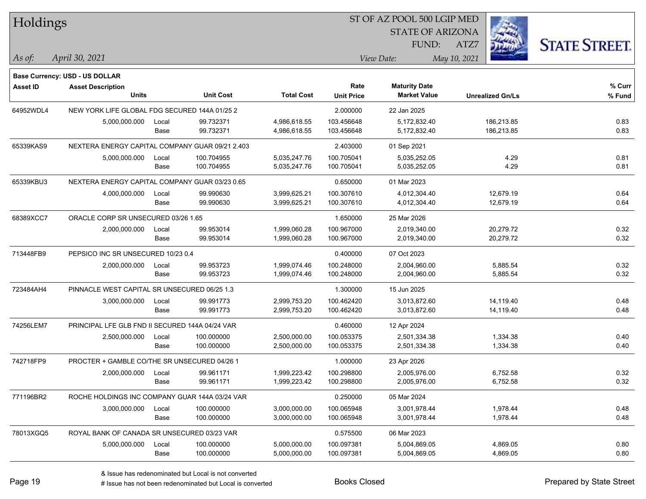| Holdings        |                                                 |       |                  |                   |                   | ST OF AZ POOL 500 LGIP MED |                         |                      |  |
|-----------------|-------------------------------------------------|-------|------------------|-------------------|-------------------|----------------------------|-------------------------|----------------------|--|
|                 |                                                 |       |                  |                   |                   | <b>STATE OF ARIZONA</b>    |                         |                      |  |
|                 |                                                 |       |                  |                   |                   | FUND:                      | ATZ7                    | <b>STATE STREET.</b> |  |
| As of:          | April 30, 2021                                  |       |                  |                   |                   | View Date:                 | May 10, 2021            |                      |  |
|                 | <b>Base Currency: USD - US DOLLAR</b>           |       |                  |                   |                   |                            |                         |                      |  |
| <b>Asset ID</b> | <b>Asset Description</b>                        |       |                  |                   | Rate              | <b>Maturity Date</b>       |                         | % Curr               |  |
|                 | <b>Units</b>                                    |       | <b>Unit Cost</b> | <b>Total Cost</b> | <b>Unit Price</b> | <b>Market Value</b>        | <b>Unrealized Gn/Ls</b> | % Fund               |  |
| 64952WDL4       | NEW YORK LIFE GLOBAL FDG SECURED 144A 01/25 2   |       |                  |                   | 2.000000          | 22 Jan 2025                |                         |                      |  |
|                 | 5,000,000.000                                   | Local | 99.732371        | 4,986,618.55      | 103.456648        | 5,172,832.40               | 186,213.85              | 0.83                 |  |
|                 |                                                 | Base  | 99.732371        | 4,986,618.55      | 103.456648        | 5,172,832.40               | 186,213.85              | 0.83                 |  |
| 65339KAS9       | NEXTERA ENERGY CAPITAL COMPANY GUAR 09/21 2.403 |       |                  |                   | 2.403000          | 01 Sep 2021                |                         |                      |  |
|                 | 5,000,000.000                                   | Local | 100.704955       | 5,035,247.76      | 100.705041        | 5,035,252.05               | 4.29                    | 0.81                 |  |
|                 |                                                 | Base  | 100.704955       | 5,035,247.76      | 100.705041        | 5,035,252.05               | 4.29                    | 0.81                 |  |
| 65339KBU3       | NEXTERA ENERGY CAPITAL COMPANY GUAR 03/23 0.65  |       |                  |                   | 0.650000          | 01 Mar 2023                |                         |                      |  |
|                 | 4,000,000.000                                   | Local | 99.990630        | 3,999,625.21      | 100.307610        | 4,012,304.40               | 12,679.19               | 0.64                 |  |
|                 |                                                 | Base  | 99.990630        | 3,999,625.21      | 100.307610        | 4,012,304.40               | 12,679.19               | 0.64                 |  |
| 68389XCC7       | ORACLE CORP SR UNSECURED 03/26 1.65             |       |                  |                   | 1.650000          | 25 Mar 2026                |                         |                      |  |
|                 | 2,000,000.000                                   | Local | 99.953014        | 1,999,060.28      | 100.967000        | 2,019,340.00               | 20,279.72               | 0.32                 |  |
|                 |                                                 | Base  | 99.953014        | 1,999,060.28      | 100.967000        | 2,019,340.00               | 20,279.72               | 0.32                 |  |
| 713448FB9       | PEPSICO INC SR UNSECURED 10/23 0.4              |       |                  |                   | 0.400000          | 07 Oct 2023                |                         |                      |  |
|                 | 2,000,000.000                                   | Local | 99.953723        | 1,999,074.46      | 100.248000        | 2,004,960.00               | 5,885.54                | 0.32                 |  |
|                 |                                                 | Base  | 99.953723        | 1,999,074.46      | 100.248000        | 2,004,960.00               | 5,885.54                | 0.32                 |  |
| 723484AH4       | PINNACLE WEST CAPITAL SR UNSECURED 06/25 1.3    |       |                  |                   | 1.300000          | 15 Jun 2025                |                         |                      |  |
|                 | 3,000,000.000                                   | Local | 99.991773        | 2,999,753.20      | 100.462420        | 3,013,872.60               | 14,119.40               | 0.48                 |  |
|                 |                                                 | Base  | 99.991773        | 2,999,753.20      | 100.462420        | 3,013,872.60               | 14,119.40               | 0.48                 |  |
| 74256LEM7       | PRINCIPAL LFE GLB FND II SECURED 144A 04/24 VAR |       |                  |                   | 0.460000          | 12 Apr 2024                |                         |                      |  |
|                 | 2,500,000.000                                   | Local | 100.000000       | 2,500,000.00      | 100.053375        | 2,501,334.38               | 1,334.38                | 0.40                 |  |
|                 |                                                 | Base  | 100.000000       | 2,500,000.00      | 100.053375        | 2,501,334.38               | 1,334.38                | 0.40                 |  |
| 742718FP9       | PROCTER + GAMBLE CO/THE SR UNSECURED 04/26 1    |       |                  |                   | 1.000000          | 23 Apr 2026                |                         |                      |  |
|                 | 2,000,000.000                                   | Local | 99.961171        | 1,999,223.42      | 100.298800        | 2,005,976.00               | 6,752.58                | 0.32                 |  |
|                 |                                                 | Base  | 99.961171        | 1,999,223.42      | 100.298800        | 2,005,976.00               | 6,752.58                | 0.32                 |  |
| 771196BR2       | ROCHE HOLDINGS INC COMPANY GUAR 144A 03/24 VAR  |       |                  |                   | 0.250000          | 05 Mar 2024                |                         |                      |  |
|                 | 3,000,000.000                                   | Local | 100.000000       | 3,000,000.00      | 100.065948        | 3,001,978.44               | 1,978.44                | 0.48                 |  |
|                 |                                                 | Base  | 100.000000       | 3,000,000.00      | 100.065948        | 3,001,978.44               | 1,978.44                | 0.48                 |  |
| 78013XGQ5       | ROYAL BANK OF CANADA SR UNSECURED 03/23 VAR     |       |                  |                   | 0.575500          | 06 Mar 2023                |                         |                      |  |
|                 | 5,000,000.000                                   | Local | 100.000000       | 5,000,000.00      | 100.097381        | 5,004,869.05               | 4,869.05                | 0.80                 |  |
|                 |                                                 | Base  | 100.000000       | 5,000,000.00      | 100.097381        | 5,004,869.05               | 4,869.05                | 0.80                 |  |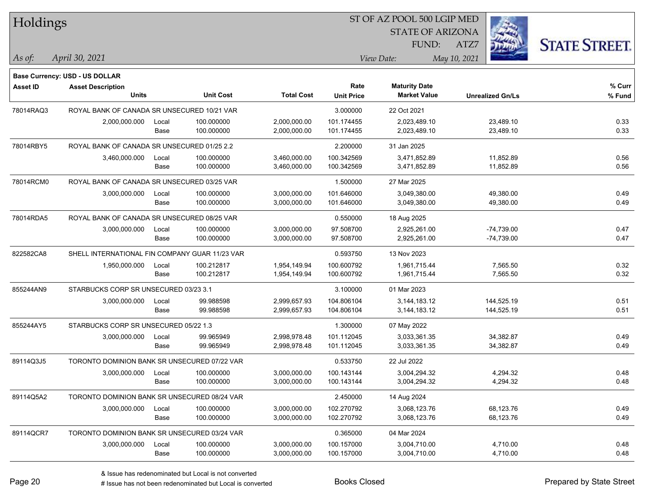| Holdings        |                                                |       |                  |                   |                   | ST OF AZ POOL 500 LGIP MED |                         |                      |  |
|-----------------|------------------------------------------------|-------|------------------|-------------------|-------------------|----------------------------|-------------------------|----------------------|--|
|                 |                                                |       |                  |                   |                   | <b>STATE OF ARIZONA</b>    |                         |                      |  |
|                 |                                                |       |                  |                   |                   | FUND:                      | ATZ7                    | <b>STATE STREET.</b> |  |
| As of:          | April 30, 2021                                 |       |                  |                   |                   | View Date:                 | May 10, 2021            |                      |  |
|                 | <b>Base Currency: USD - US DOLLAR</b>          |       |                  |                   |                   |                            |                         |                      |  |
| <b>Asset ID</b> | <b>Asset Description</b>                       |       |                  |                   | Rate              | <b>Maturity Date</b>       |                         | % Curr               |  |
|                 | <b>Units</b>                                   |       | <b>Unit Cost</b> | <b>Total Cost</b> | <b>Unit Price</b> | <b>Market Value</b>        | <b>Unrealized Gn/Ls</b> | % Fund               |  |
| 78014RAQ3       | ROYAL BANK OF CANADA SR UNSECURED 10/21 VAR    |       |                  |                   | 3.000000          | 22 Oct 2021                |                         |                      |  |
|                 | 2,000,000.000                                  | Local | 100.000000       | 2,000,000.00      | 101.174455        | 2,023,489.10               | 23,489.10               | 0.33                 |  |
|                 |                                                | Base  | 100.000000       | 2,000,000.00      | 101.174455        | 2,023,489.10               | 23,489.10               | 0.33                 |  |
| 78014RBY5       | ROYAL BANK OF CANADA SR UNSECURED 01/25 2.2    |       |                  |                   | 2.200000          | 31 Jan 2025                |                         |                      |  |
|                 | 3,460,000.000                                  | Local | 100.000000       | 3,460,000.00      | 100.342569        | 3,471,852.89               | 11,852.89               | 0.56                 |  |
|                 |                                                | Base  | 100.000000       | 3,460,000.00      | 100.342569        | 3,471,852.89               | 11,852.89               | 0.56                 |  |
| 78014RCM0       | ROYAL BANK OF CANADA SR UNSECURED 03/25 VAR    |       |                  |                   | 1.500000          | 27 Mar 2025                |                         |                      |  |
|                 | 3,000,000.000                                  | Local | 100.000000       | 3,000,000.00      | 101.646000        | 3,049,380.00               | 49,380.00               | 0.49                 |  |
|                 |                                                | Base  | 100.000000       | 3,000,000.00      | 101.646000        | 3,049,380.00               | 49,380.00               | 0.49                 |  |
| 78014RDA5       | ROYAL BANK OF CANADA SR UNSECURED 08/25 VAR    |       |                  |                   | 0.550000          | 18 Aug 2025                |                         |                      |  |
|                 | 3,000,000.000                                  | Local | 100.000000       | 3,000,000.00      | 97.508700         | 2,925,261.00               | $-74,739.00$            | 0.47                 |  |
|                 |                                                | Base  | 100.000000       | 3,000,000.00      | 97.508700         | 2,925,261.00               | $-74,739.00$            | 0.47                 |  |
| 822582CA8       | SHELL INTERNATIONAL FIN COMPANY GUAR 11/23 VAR |       |                  |                   | 0.593750          | 13 Nov 2023                |                         |                      |  |
|                 | 1,950,000.000                                  | Local | 100.212817       | 1,954,149.94      | 100.600792        | 1,961,715.44               | 7,565.50                | 0.32                 |  |
|                 |                                                | Base  | 100.212817       | 1,954,149.94      | 100.600792        | 1,961,715.44               | 7,565.50                | 0.32                 |  |
| 855244AN9       | STARBUCKS CORP SR UNSECURED 03/23 3.1          |       |                  |                   | 3.100000          | 01 Mar 2023                |                         |                      |  |
|                 | 3,000,000.000                                  | Local | 99.988598        | 2,999,657.93      | 104.806104        | 3, 144, 183. 12            | 144,525.19              | 0.51                 |  |
|                 |                                                | Base  | 99.988598        | 2,999,657.93      | 104.806104        | 3,144,183.12               | 144,525.19              | 0.51                 |  |
| 855244AY5       | STARBUCKS CORP SR UNSECURED 05/22 1.3          |       |                  |                   | 1.300000          | 07 May 2022                |                         |                      |  |
|                 | 3,000,000.000                                  | Local | 99.965949        | 2,998,978.48      | 101.112045        | 3,033,361.35               | 34,382.87               | 0.49                 |  |
|                 |                                                | Base  | 99.965949        | 2,998,978.48      | 101.112045        | 3,033,361.35               | 34,382.87               | 0.49                 |  |
| 89114Q3J5       | TORONTO DOMINION BANK SR UNSECURED 07/22 VAR   |       |                  |                   | 0.533750          | 22 Jul 2022                |                         |                      |  |
|                 | 3,000,000.000                                  | Local | 100.000000       | 3,000,000.00      | 100.143144        | 3,004,294.32               | 4,294.32                | 0.48                 |  |
|                 |                                                | Base  | 100.000000       | 3,000,000.00      | 100.143144        | 3,004,294.32               | 4,294.32                | 0.48                 |  |
| 89114Q5A2       | TORONTO DOMINION BANK SR UNSECURED 08/24 VAR   |       |                  |                   | 2.450000          | 14 Aug 2024                |                         |                      |  |
|                 | 3,000,000.000                                  | Local | 100.000000       | 3,000,000.00      | 102.270792        | 3,068,123.76               | 68,123.76               | 0.49                 |  |
|                 |                                                | Base  | 100.000000       | 3,000,000.00      | 102.270792        | 3,068,123.76               | 68,123.76               | 0.49                 |  |
| 89114QCR7       | TORONTO DOMINION BANK SR UNSECURED 03/24 VAR   |       |                  |                   | 0.365000          | 04 Mar 2024                |                         |                      |  |
|                 | 3,000,000.000                                  | Local | 100.000000       | 3,000,000.00      | 100.157000        | 3,004,710.00               | 4,710.00                | 0.48                 |  |
|                 |                                                | Base  | 100.000000       | 3,000,000.00      | 100.157000        | 3,004,710.00               | 4,710.00                | 0.48                 |  |

# Issue has not been redenominated but Local is converted Books Closed Prepared by State Street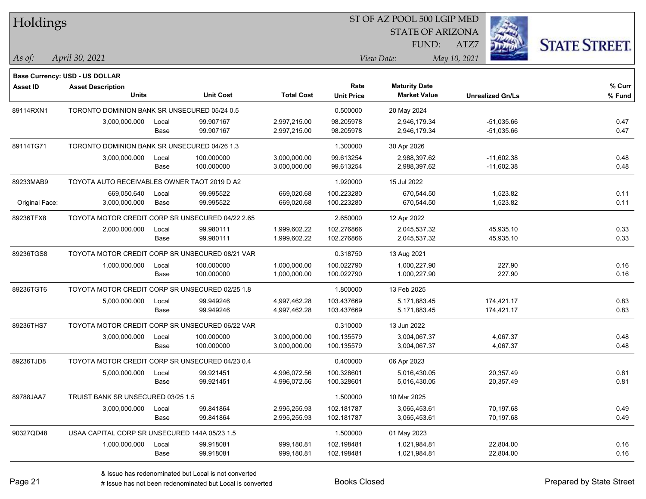| Holdings        |                                                  |       |                  |                   |                   | ST OF AZ POOL 500 LGIP MED |                         |                      |  |
|-----------------|--------------------------------------------------|-------|------------------|-------------------|-------------------|----------------------------|-------------------------|----------------------|--|
|                 |                                                  |       |                  |                   |                   | <b>STATE OF ARIZONA</b>    |                         |                      |  |
|                 |                                                  |       |                  |                   |                   | FUND:                      | ATZ7                    | <b>STATE STREET.</b> |  |
| As of:          | April 30, 2021                                   |       |                  |                   |                   | View Date:                 | May 10, 2021            |                      |  |
|                 | <b>Base Currency: USD - US DOLLAR</b>            |       |                  |                   |                   |                            |                         |                      |  |
| <b>Asset ID</b> | <b>Asset Description</b>                         |       |                  |                   | Rate              | <b>Maturity Date</b>       |                         | % Curr               |  |
|                 | <b>Units</b>                                     |       | <b>Unit Cost</b> | <b>Total Cost</b> | <b>Unit Price</b> | <b>Market Value</b>        | <b>Unrealized Gn/Ls</b> | % Fund               |  |
| 89114RXN1       | TORONTO DOMINION BANK SR UNSECURED 05/24 0.5     |       |                  |                   | 0.500000          | 20 May 2024                |                         |                      |  |
|                 | 3,000,000.000                                    | Local | 99.907167        | 2,997,215.00      | 98.205978         | 2,946,179.34               | $-51,035.66$            | 0.47                 |  |
|                 |                                                  | Base  | 99.907167        | 2,997,215.00      | 98.205978         | 2,946,179.34               | $-51,035.66$            | 0.47                 |  |
| 89114TG71       | TORONTO DOMINION BANK SR UNSECURED 04/26 1.3     |       |                  |                   | 1.300000          | 30 Apr 2026                |                         |                      |  |
|                 | 3,000,000.000                                    | Local | 100.000000       | 3,000,000.00      | 99.613254         | 2,988,397.62               | $-11,602.38$            | 0.48                 |  |
|                 |                                                  | Base  | 100.000000       | 3,000,000.00      | 99.613254         | 2,988,397.62               | $-11,602.38$            | 0.48                 |  |
| 89233MAB9       | TOYOTA AUTO RECEIVABLES OWNER TAOT 2019 D A2     |       |                  |                   | 1.920000          | 15 Jul 2022                |                         |                      |  |
|                 | 669,050.640                                      | Local | 99.995522        | 669,020.68        | 100.223280        | 670,544.50                 | 1,523.82                | 0.11                 |  |
| Original Face:  | 3,000,000.000                                    | Base  | 99.995522        | 669,020.68        | 100.223280        | 670,544.50                 | 1,523.82                | 0.11                 |  |
| 89236TFX8       | TOYOTA MOTOR CREDIT CORP SR UNSECURED 04/22 2.65 |       |                  |                   | 2.650000          | 12 Apr 2022                |                         |                      |  |
|                 | 2,000,000.000                                    | Local | 99.980111        | 1,999,602.22      | 102.276866        | 2,045,537.32               | 45,935.10               | 0.33                 |  |
|                 |                                                  | Base  | 99.980111        | 1,999,602.22      | 102.276866        | 2,045,537.32               | 45,935.10               | 0.33                 |  |
| 89236TGS8       | TOYOTA MOTOR CREDIT CORP SR UNSECURED 08/21 VAR  |       |                  |                   | 0.318750          | 13 Aug 2021                |                         |                      |  |
|                 | 1,000,000.000                                    | Local | 100.000000       | 1,000,000.00      | 100.022790        | 1,000,227.90               | 227.90                  | 0.16                 |  |
|                 |                                                  | Base  | 100.000000       | 1,000,000.00      | 100.022790        | 1,000,227.90               | 227.90                  | 0.16                 |  |
| 89236TGT6       | TOYOTA MOTOR CREDIT CORP SR UNSECURED 02/25 1.8  |       |                  |                   | 1.800000          | 13 Feb 2025                |                         |                      |  |
|                 | 5,000,000.000                                    | Local | 99.949246        | 4,997,462.28      | 103.437669        | 5,171,883.45               | 174,421.17              | 0.83                 |  |
|                 |                                                  | Base  | 99.949246        | 4,997,462.28      | 103.437669        | 5,171,883.45               | 174,421.17              | 0.83                 |  |
| 89236THS7       | TOYOTA MOTOR CREDIT CORP SR UNSECURED 06/22 VAR  |       |                  |                   | 0.310000          | 13 Jun 2022                |                         |                      |  |
|                 | 3,000,000.000                                    | Local | 100.000000       | 3,000,000.00      | 100.135579        | 3,004,067.37               | 4,067.37                | 0.48                 |  |
|                 |                                                  | Base  | 100.000000       | 3,000,000.00      | 100.135579        | 3,004,067.37               | 4,067.37                | 0.48                 |  |
| 89236TJD8       | TOYOTA MOTOR CREDIT CORP SR UNSECURED 04/23 0.4  |       |                  |                   | 0.400000          | 06 Apr 2023                |                         |                      |  |
|                 | 5,000,000.000                                    | Local | 99.921451        | 4,996,072.56      | 100.328601        | 5,016,430.05               | 20,357.49               | 0.81                 |  |
|                 |                                                  | Base  | 99.921451        | 4,996,072.56      | 100.328601        | 5,016,430.05               | 20,357.49               | 0.81                 |  |
| 89788JAA7       | TRUIST BANK SR UNSECURED 03/25 1.5               |       |                  |                   | 1.500000          | 10 Mar 2025                |                         |                      |  |
|                 | 3,000,000.000                                    | Local | 99.841864        | 2,995,255.93      | 102.181787        | 3,065,453.61               | 70,197.68               | 0.49                 |  |
|                 |                                                  | Base  | 99.841864        | 2,995,255.93      | 102.181787        | 3,065,453.61               | 70,197.68               | 0.49                 |  |
| 90327QD48       | USAA CAPITAL CORP SR UNSECURED 144A 05/23 1.5    |       |                  |                   | 1.500000          | 01 May 2023                |                         |                      |  |
|                 | 1,000,000.000                                    | Local | 99.918081        | 999,180.81        | 102.198481        | 1,021,984.81               | 22,804.00               | 0.16                 |  |
|                 |                                                  | Base  | 99.918081        | 999,180.81        | 102.198481        | 1,021,984.81               | 22,804.00               | 0.16                 |  |

# Issue has not been redenominated but Local is converted Books Closed Prepared by State Street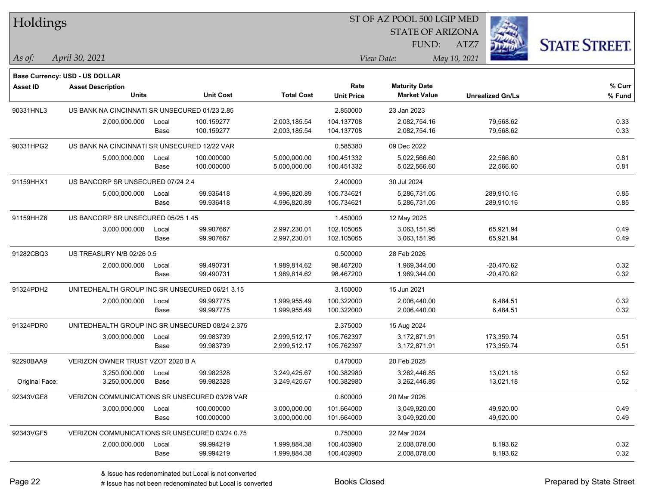| Holdings        |                                                 |       |                  |                   |                   | 51 OF AZ POOL 500 LGIP MED |                         |                      |
|-----------------|-------------------------------------------------|-------|------------------|-------------------|-------------------|----------------------------|-------------------------|----------------------|
|                 |                                                 |       |                  |                   |                   | <b>STATE OF ARIZONA</b>    | i.                      |                      |
|                 |                                                 |       |                  |                   |                   | FUND:                      | ATZ7                    | <b>STATE STREET.</b> |
| As of:          | April 30, 2021                                  |       |                  |                   |                   | View Date:                 | May 10, 2021            |                      |
|                 |                                                 |       |                  |                   |                   |                            |                         |                      |
|                 | <b>Base Currency: USD - US DOLLAR</b>           |       |                  |                   |                   |                            |                         |                      |
| <b>Asset ID</b> | <b>Asset Description</b>                        |       |                  |                   | Rate              | <b>Maturity Date</b>       |                         | % Curr               |
|                 | <b>Units</b>                                    |       | <b>Unit Cost</b> | <b>Total Cost</b> | <b>Unit Price</b> | <b>Market Value</b>        | <b>Unrealized Gn/Ls</b> | % Fund               |
| 90331HNL3       | US BANK NA CINCINNATI SR UNSECURED 01/23 2.85   |       |                  |                   | 2.850000          | 23 Jan 2023                |                         |                      |
|                 | 2,000,000.000                                   | Local | 100.159277       | 2,003,185.54      | 104.137708        | 2,082,754.16               | 79,568.62               | 0.33                 |
|                 |                                                 | Base  | 100.159277       | 2,003,185.54      | 104.137708        | 2,082,754.16               | 79,568.62               | 0.33                 |
| 90331HPG2       | US BANK NA CINCINNATI SR UNSECURED 12/22 VAR    |       |                  |                   | 0.585380          | 09 Dec 2022                |                         |                      |
|                 | 5,000,000.000                                   | Local | 100.000000       | 5,000,000.00      | 100.451332        | 5,022,566.60               | 22,566.60               | 0.81                 |
|                 |                                                 | Base  | 100.000000       | 5,000,000.00      | 100.451332        | 5,022,566.60               | 22,566.60               | 0.81                 |
| 91159HHX1       | US BANCORP SR UNSECURED 07/24 2.4               |       |                  |                   | 2.400000          | 30 Jul 2024                |                         |                      |
|                 | 5,000,000.000                                   | Local | 99.936418        | 4,996,820.89      | 105.734621        | 5,286,731.05               | 289,910.16              | 0.85                 |
|                 |                                                 | Base  | 99.936418        | 4,996,820.89      | 105.734621        | 5,286,731.05               | 289,910.16              | 0.85                 |
| 91159HHZ6       | US BANCORP SR UNSECURED 05/25 1.45              |       |                  |                   | 1.450000          | 12 May 2025                |                         |                      |
|                 | 3,000,000.000                                   | Local | 99.907667        | 2,997,230.01      | 102.105065        | 3,063,151.95               | 65,921.94               | 0.49                 |
|                 |                                                 | Base  | 99.907667        | 2,997,230.01      | 102.105065        | 3,063,151.95               | 65,921.94               | 0.49                 |
| 91282CBQ3       | US TREASURY N/B 02/26 0.5                       |       |                  |                   | 0.500000          | 28 Feb 2026                |                         |                      |
|                 | 2,000,000.000                                   | Local | 99.490731        | 1,989,814.62      | 98.467200         | 1,969,344.00               | $-20,470.62$            | 0.32                 |
|                 |                                                 | Base  | 99.490731        | 1,989,814.62      | 98.467200         | 1,969,344.00               | $-20,470.62$            | 0.32                 |
| 91324PDH2       | UNITEDHEALTH GROUP INC SR UNSECURED 06/21 3.15  |       |                  |                   | 3.150000          | 15 Jun 2021                |                         |                      |
|                 | 2,000,000.000                                   | Local | 99.997775        | 1,999,955.49      | 100.322000        | 2,006,440.00               | 6,484.51                | 0.32                 |
|                 |                                                 | Base  | 99.997775        | 1,999,955.49      | 100.322000        | 2,006,440.00               | 6,484.51                | 0.32                 |
| 91324PDR0       | UNITEDHEALTH GROUP INC SR UNSECURED 08/24 2.375 |       |                  |                   | 2.375000          | 15 Aug 2024                |                         |                      |
|                 | 3,000,000.000                                   | Local | 99.983739        | 2,999,512.17      | 105.762397        | 3,172,871.91               | 173,359.74              | 0.51                 |
|                 |                                                 | Base  | 99.983739        | 2,999,512.17      | 105.762397        | 3,172,871.91               | 173,359.74              | 0.51                 |
| 92290BAA9       | VERIZON OWNER TRUST VZOT 2020 B A               |       |                  |                   | 0.470000          | 20 Feb 2025                |                         |                      |
|                 | 3,250,000.000                                   | Local | 99.982328        | 3,249,425.67      | 100.382980        | 3,262,446.85               | 13,021.18               | 0.52                 |
| Original Face:  | 3,250,000.000                                   | Base  | 99.982328        | 3,249,425.67      | 100.382980        | 3,262,446.85               | 13,021.18               | 0.52                 |
| 92343VGE8       | VERIZON COMMUNICATIONS SR UNSECURED 03/26 VAR   |       |                  |                   | 0.800000          | 20 Mar 2026                |                         |                      |
|                 | 3,000,000.000                                   | Local | 100.000000       | 3,000,000.00      | 101.664000        | 3,049,920.00               | 49,920.00               | 0.49                 |
|                 |                                                 | Base  | 100.000000       | 3,000,000.00      | 101.664000        | 3,049,920.00               | 49,920.00               | 0.49                 |
| 92343VGF5       | VERIZON COMMUNICATIONS SR UNSECURED 03/24 0.75  |       |                  |                   | 0.750000          | 22 Mar 2024                |                         |                      |
|                 | 2,000,000.000                                   | Local | 99.994219        | 1,999,884.38      | 100.403900        | 2,008,078.00               | 8,193.62                | 0.32                 |
|                 |                                                 | Base  | 99.994219        | 1,999,884.38      | 100.403900        | 2,008,078.00               | 8,193.62                | 0.32                 |
|                 |                                                 |       |                  |                   |                   |                            |                         |                      |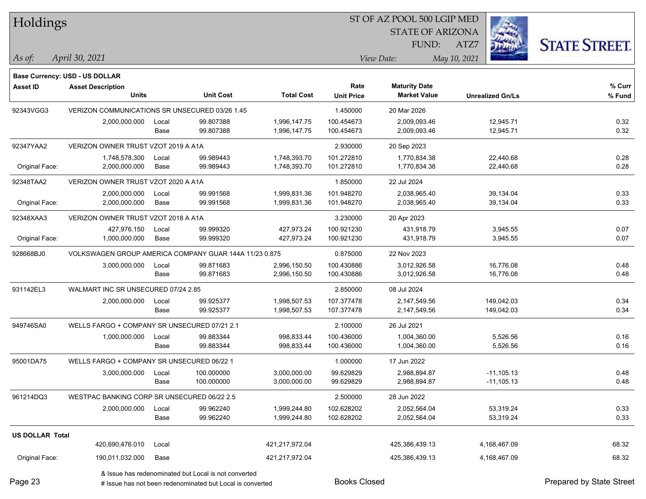| Holdings |
|----------|
|          |

**Maturity Date**

STATE OF ARIZONA FUND:



**% Curr**

*April 30, 2021 As of: View Date: May 10, 2021*

**Base Currency: USD - US DOLLAR**

ATZ7

|                | <b>Units</b>                                   |       | <b>Unit Cost</b>                                       | <b>Total Cost</b> | <b>Unit Price</b> | <b>Market Value</b> | <b>Unrealized Gn/Ls</b> | % Fund |
|----------------|------------------------------------------------|-------|--------------------------------------------------------|-------------------|-------------------|---------------------|-------------------------|--------|
| 92343VGG3      | VERIZON COMMUNICATIONS SR UNSECURED 03/26 1.45 |       |                                                        |                   | 1.450000          | 20 Mar 2026         |                         |        |
|                | 2,000,000.000                                  | Local | 99.807388                                              | 1,996,147.75      | 100.454673        | 2,009,093.46        | 12,945.71               | 0.32   |
|                |                                                | Base  | 99.807388                                              | 1,996,147.75      | 100.454673        | 2,009,093.46        | 12,945.71               | 0.32   |
| 92347YAA2      | VERIZON OWNER TRUST VZOT 2019 A A1A            |       |                                                        |                   | 2.930000          | 20 Sep 2023         |                         |        |
|                | 1,748,578.300                                  | Local | 99.989443                                              | 1,748,393.70      | 101.272810        | 1.770.834.38        | 22,440.68               | 0.28   |
| Original Face: | 2,000,000.000                                  | Base  | 99.989443                                              | 1,748,393.70      | 101.272810        | 1,770,834.38        | 22,440.68               | 0.28   |
| 92348TAA2      | VERIZON OWNER TRUST VZOT 2020 A A1A            |       |                                                        |                   | 1.850000          | 22 Jul 2024         |                         |        |
|                | 2,000,000.000                                  | Local | 99.991568                                              | 1,999,831.36      | 101.948270        | 2,038,965.40        | 39,134.04               | 0.33   |
| Original Face: | 2,000,000.000                                  | Base  | 99.991568                                              | 1,999,831.36      | 101.948270        | 2,038,965.40        | 39,134.04               | 0.33   |
| 92348XAA3      | VERIZON OWNER TRUST VZOT 2018 A A1A            |       |                                                        |                   | 3.230000          | 20 Apr 2023         |                         |        |
|                | 427,976.150                                    | Local | 99.999320                                              | 427,973.24        | 100.921230        | 431.918.79          | 3,945.55                | 0.07   |
| Original Face: | 1,000,000.000                                  | Base  | 99.999320                                              | 427,973.24        | 100.921230        | 431,918.79          | 3,945.55                | 0.07   |
| 928668BJ0      |                                                |       | VOLKSWAGEN GROUP AMERICA COMPANY GUAR 144A 11/23 0.875 |                   | 0.875000          | 22 Nov 2023         |                         |        |
|                | 3,000,000.000                                  | Local | 99.871683                                              | 2,996,150.50      | 100.430886        | 3,012,926.58        | 16,776.08               | 0.48   |
|                |                                                | Base  | 99.871683                                              | 2,996,150.50      | 100.430886        | 3,012,926.58        | 16,776.08               | 0.48   |
| 931142EL3      | WALMART INC SR UNSECURED 07/24 2.85            |       |                                                        |                   | 2.850000          | 08 Jul 2024         |                         |        |
|                | 2,000,000.000                                  | Local | 99.925377                                              | 1,998,507.53      | 107.377478        | 2,147,549.56        | 149,042.03              | 0.34   |
|                |                                                | Base  | 99.925377                                              | 1,998,507.53      | 107.377478        | 2,147,549.56        | 149,042.03              | 0.34   |
| 949746SA0      | WELLS FARGO + COMPANY SR UNSECURED 07/21 2.1   |       |                                                        |                   | 2.100000          | 26 Jul 2021         |                         |        |
|                | 1,000,000.000                                  | Local | 99.883344                                              | 998,833.44        | 100.436000        | 1,004,360.00        | 5,526.56                | 0.16   |
|                |                                                | Base  | 99.883344                                              | 998,833.44        | 100.436000        | 1,004,360.00        | 5,526.56                | 0.16   |
| 95001DA75      | WELLS FARGO + COMPANY SR UNSECURED 06/22 1     |       |                                                        |                   | 1.000000          | 17 Jun 2022         |                         |        |
|                | 3,000,000.000                                  | Local | 100.000000                                             | 3,000,000.00      | 99.629829         | 2,988,894.87        | $-11, 105.13$           | 0.48   |
|                |                                                | Base  | 100.000000                                             | 3,000,000.00      | 99.629829         | 2,988,894.87        | $-11, 105.13$           | 0.48   |
| 961214DQ3      | WESTPAC BANKING CORP SR UNSECURED 06/22 2.5    |       |                                                        |                   | 2.500000          | 28 Jun 2022         |                         |        |
|                | 2,000,000.000                                  | Local | 99.962240                                              | 1,999,244.80      | 102.628202        | 2,052,564.04        | 53,319.24               | 0.33   |
|                |                                                | Base  | 99.962240                                              | 1,999,244.80      | 102.628202        | 2,052,564.04        | 53,319.24               | 0.33   |
|                |                                                |       |                                                        |                   |                   |                     |                         |        |

**Asset ID Asset Description Rate**

Page 23

# Issue has not been redenominated but Local is converted Books Closed Prepared by State Street

Original Face: 190,011,032.000 Base 421,217,972.04 425,386,439.13 4,168,467.09 68.32

420,690,476.010 Local 421,217,972.04 425,386,439.13 4,168,467.09 68.32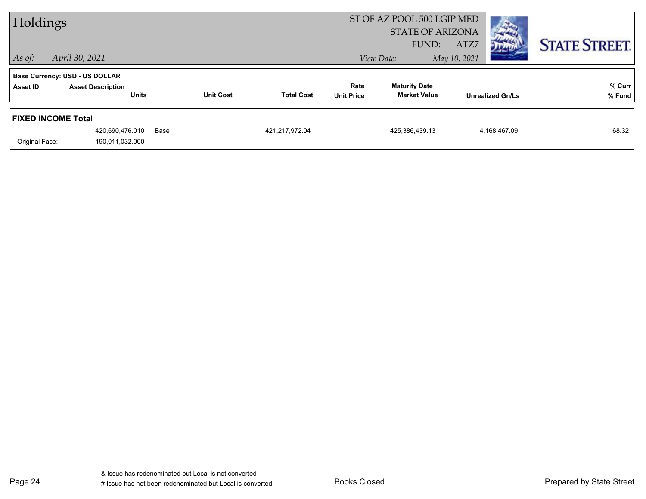| Holdings                  |                                          |      |                  | ST OF AZ POOL 500 LGIP MED<br><b>STATE OF ARIZONA</b> |                           |                                             |                              | <b>CONTRACTOR</b>    |  |
|---------------------------|------------------------------------------|------|------------------|-------------------------------------------------------|---------------------------|---------------------------------------------|------------------------------|----------------------|--|
| $ $ As of:                | April 30, 2021                           |      |                  |                                                       |                           | FUND:<br>View Date:                         | ATZ7<br>מיית<br>May 10, 2021 | <b>STATE STREET.</b> |  |
|                           | <b>Base Currency: USD - US DOLLAR</b>    |      |                  |                                                       |                           |                                             |                              |                      |  |
| Asset ID                  | <b>Asset Description</b><br><b>Units</b> |      | <b>Unit Cost</b> | <b>Total Cost</b>                                     | Rate<br><b>Unit Price</b> | <b>Maturity Date</b><br><b>Market Value</b> | <b>Unrealized Gn/Ls</b>      | % Curr<br>% Fund     |  |
| <b>FIXED INCOME Total</b> |                                          |      |                  |                                                       |                           |                                             |                              |                      |  |
|                           | 420,690,476.010                          | Base |                  | 421,217,972.04                                        |                           | 425,386,439.13                              | 4,168,467.09                 | 68.32                |  |
| Original Face:            | 190,011,032.000                          |      |                  |                                                       |                           |                                             |                              |                      |  |

Page 24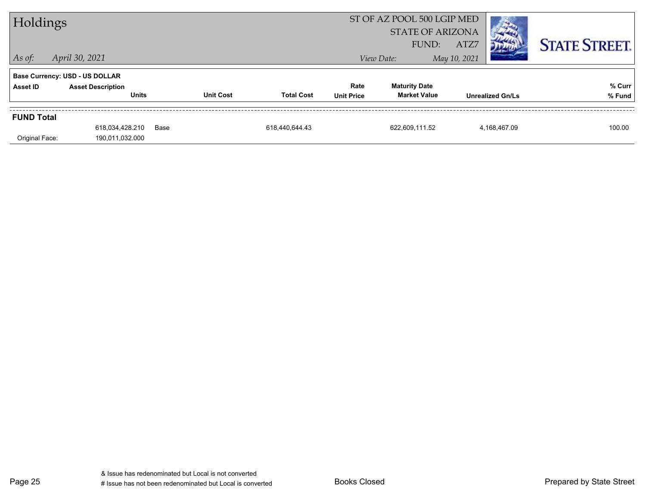| Holdings          |                                          |      |                  |                   |                           | ST OF AZ POOL 500 LGIP MED<br><b>STATE OF ARIZONA</b><br>ATZ7<br>FUND: |              |                         | <b>STATE STREET.</b> |
|-------------------|------------------------------------------|------|------------------|-------------------|---------------------------|------------------------------------------------------------------------|--------------|-------------------------|----------------------|
| $ $ As of:        | April 30, 2021                           |      |                  |                   |                           | View Date:                                                             | May 10, 2021 |                         |                      |
|                   | <b>Base Currency: USD - US DOLLAR</b>    |      |                  |                   |                           |                                                                        |              |                         |                      |
| <b>Asset ID</b>   | <b>Asset Description</b><br><b>Units</b> |      | <b>Unit Cost</b> | <b>Total Cost</b> | Rate<br><b>Unit Price</b> | <b>Maturity Date</b><br><b>Market Value</b>                            |              | <b>Unrealized Gn/Ls</b> | % Curr<br>% Fund     |
| <b>FUND Total</b> |                                          |      |                  |                   |                           |                                                                        |              |                         |                      |
| Original Face:    | 618,034,428.210<br>190,011,032.000       | Base |                  | 618,440,644.43    |                           | 622,609,111.52                                                         |              | 4,168,467.09            | 100.00               |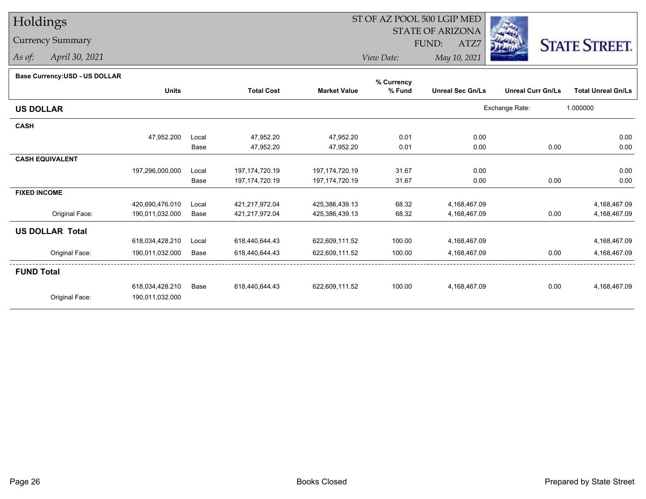# Holdings

## Currency Summary

*As of: April 30, 2021*

## ST OF AZ POOL 500 LGIP MED

 STATE OF ARIZONAFUND:

ATZ7



*View Date:May 10, 2021*

| Base Currency: USD - US DOLLAR |  |
|--------------------------------|--|
|--------------------------------|--|

| <b>Dase Ourlelley.00D - 00 DOLLAR</b> |                 |       |                   |                     | % Currency |                         |                          |                           |
|---------------------------------------|-----------------|-------|-------------------|---------------------|------------|-------------------------|--------------------------|---------------------------|
|                                       | <b>Units</b>    |       | <b>Total Cost</b> | <b>Market Value</b> | % Fund     | <b>Unreal Sec Gn/Ls</b> | <b>Unreal Curr Gn/Ls</b> | <b>Total Unreal Gn/Ls</b> |
| <b>US DOLLAR</b>                      |                 |       |                   |                     |            |                         | Exchange Rate:           | 1.000000                  |
| <b>CASH</b>                           |                 |       |                   |                     |            |                         |                          |                           |
|                                       | 47,952.200      | Local | 47,952.20         | 47,952.20           | 0.01       | 0.00                    |                          | 0.00                      |
|                                       |                 | Base  | 47,952.20         | 47,952.20           | 0.01       | 0.00                    | 0.00                     | 0.00                      |
| <b>CASH EQUIVALENT</b>                |                 |       |                   |                     |            |                         |                          |                           |
|                                       | 197,296,000.000 | Local | 197, 174, 720. 19 | 197, 174, 720. 19   | 31.67      | 0.00                    |                          | 0.00                      |
|                                       |                 | Base  | 197, 174, 720. 19 | 197, 174, 720. 19   | 31.67      | 0.00                    | 0.00                     | 0.00                      |
| <b>FIXED INCOME</b>                   |                 |       |                   |                     |            |                         |                          |                           |
|                                       | 420,690,476.010 | Local | 421,217,972.04    | 425,386,439.13      | 68.32      | 4,168,467.09            |                          | 4,168,467.09              |
| Original Face:                        | 190,011,032.000 | Base  | 421,217,972.04    | 425,386,439.13      | 68.32      | 4,168,467.09            | 0.00                     | 4,168,467.09              |
| <b>US DOLLAR Total</b>                |                 |       |                   |                     |            |                         |                          |                           |
|                                       | 618,034,428.210 | Local | 618,440,644.43    | 622,609,111.52      | 100.00     | 4,168,467.09            |                          | 4,168,467.09              |
| Original Face:                        | 190,011,032.000 | Base  | 618,440,644.43    | 622,609,111.52      | 100.00     | 4,168,467.09            | 0.00                     | 4,168,467.09              |
| <b>FUND Total</b>                     |                 |       |                   |                     |            |                         |                          |                           |
|                                       | 618,034,428.210 | Base  | 618,440,644.43    | 622,609,111.52      | 100.00     | 4,168,467.09            | 0.00                     | 4,168,467.09              |
| Original Face:                        | 190,011,032.000 |       |                   |                     |            |                         |                          |                           |
|                                       |                 |       |                   |                     |            |                         |                          |                           |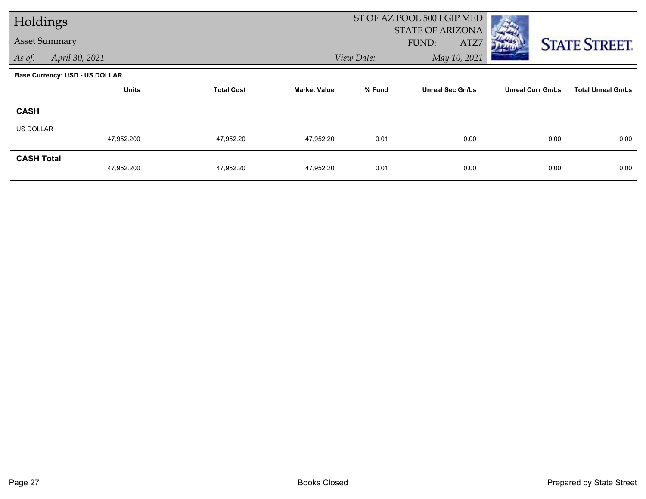| Holdings             |                                       |                   |                     |            | ST OF AZ POOL 500 LGIP MED               |                          |                           |
|----------------------|---------------------------------------|-------------------|---------------------|------------|------------------------------------------|--------------------------|---------------------------|
| <b>Asset Summary</b> |                                       |                   |                     |            | <b>STATE OF ARIZONA</b><br>FUND:<br>ATZ7 |                          | <b>STATE STREET.</b>      |
| As of:               | April 30, 2021                        |                   |                     | View Date: | May 10, 2021                             |                          |                           |
|                      | <b>Base Currency: USD - US DOLLAR</b> |                   |                     |            |                                          |                          |                           |
|                      | <b>Units</b>                          | <b>Total Cost</b> | <b>Market Value</b> | % Fund     | <b>Unreal Sec Gn/Ls</b>                  | <b>Unreal Curr Gn/Ls</b> | <b>Total Unreal Gn/Ls</b> |
| <b>CASH</b>          |                                       |                   |                     |            |                                          |                          |                           |
| <b>US DOLLAR</b>     |                                       |                   |                     |            |                                          |                          |                           |
|                      | 47,952.200                            | 47,952.20         | 47,952.20           | 0.01       | 0.00                                     | 0.00                     | 0.00                      |
| <b>CASH Total</b>    | 47,952.200                            | 47,952.20         | 47,952.20           | 0.01       | 0.00                                     | 0.00                     | 0.00                      |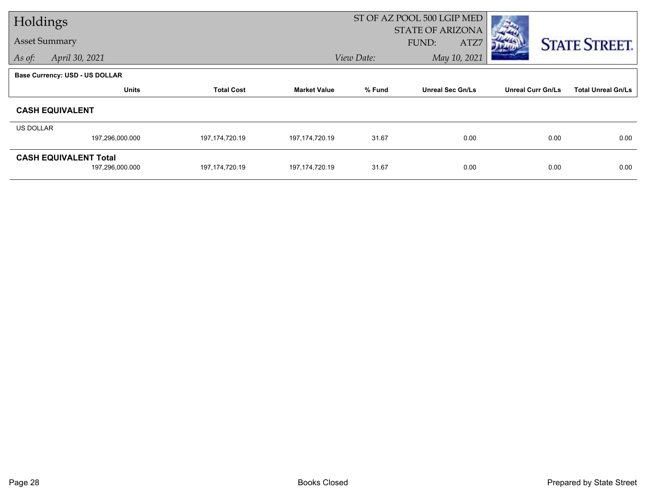| Holdings  |                                |                   |                     |            | ST OF AZ POOL 500 LGIP MED |                          |                           |
|-----------|--------------------------------|-------------------|---------------------|------------|----------------------------|--------------------------|---------------------------|
|           |                                |                   |                     |            | <b>STATE OF ARIZONA</b>    |                          |                           |
|           | <b>Asset Summary</b>           |                   |                     |            | FUND:<br>ATZ7              |                          | <b>STATE STREET.</b>      |
| As of:    | April 30, 2021                 |                   |                     | View Date: | May 10, 2021               |                          |                           |
|           | Base Currency: USD - US DOLLAR |                   |                     |            |                            |                          |                           |
|           | <b>Units</b>                   | <b>Total Cost</b> | <b>Market Value</b> | % Fund     | <b>Unreal Sec Gn/Ls</b>    | <b>Unreal Curr Gn/Ls</b> | <b>Total Unreal Gn/Ls</b> |
|           | <b>CASH EQUIVALENT</b>         |                   |                     |            |                            |                          |                           |
| US DOLLAR |                                |                   |                     |            |                            |                          |                           |
|           | 197,296,000.000                | 197, 174, 720. 19 | 197, 174, 720. 19   | 31.67      | 0.00                       | 0.00                     | 0.00                      |
|           | <b>CASH EQUIVALENT Total</b>   |                   |                     |            |                            |                          |                           |
|           | 197,296,000.000                | 197, 174, 720. 19 | 197, 174, 720. 19   | 31.67      | 0.00                       | 0.00                     | 0.00                      |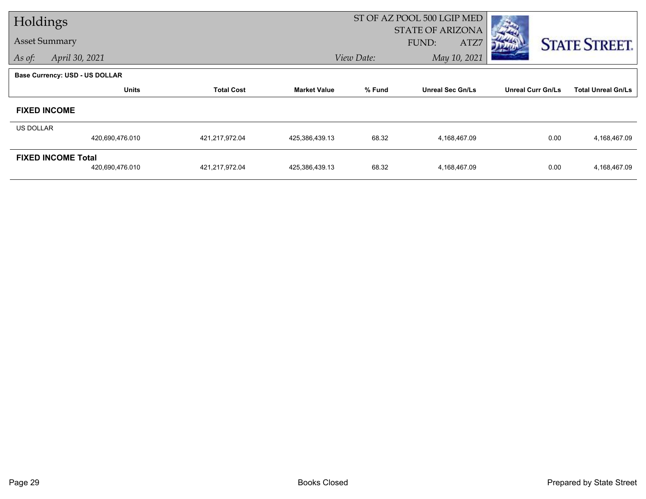| Holdings             |                                       |                   |                     | ST OF AZ POOL 500 LGIP MED |                         |                          |                           |
|----------------------|---------------------------------------|-------------------|---------------------|----------------------------|-------------------------|--------------------------|---------------------------|
| <b>Asset Summary</b> |                                       |                   |                     |                            | <b>STATE OF ARIZONA</b> |                          |                           |
|                      |                                       |                   |                     |                            | FUND:<br>ATZ7           |                          | <b>STATE STREET.</b>      |
| As of:               | April 30, 2021                        |                   |                     | View Date:                 | May 10, 2021            |                          |                           |
|                      | <b>Base Currency: USD - US DOLLAR</b> |                   |                     |                            |                         |                          |                           |
|                      | <b>Units</b>                          | <b>Total Cost</b> | <b>Market Value</b> | % Fund                     | <b>Unreal Sec Gn/Ls</b> | <b>Unreal Curr Gn/Ls</b> | <b>Total Unreal Gn/Ls</b> |
|                      | <b>FIXED INCOME</b>                   |                   |                     |                            |                         |                          |                           |
| US DOLLAR            |                                       |                   |                     |                            |                         |                          |                           |
|                      | 420,690,476.010                       | 421,217,972.04    | 425,386,439.13      | 68.32                      | 4,168,467.09            | 0.00                     | 4,168,467.09              |
|                      | <b>FIXED INCOME Total</b>             |                   |                     |                            |                         |                          |                           |
|                      | 420,690,476.010                       | 421,217,972.04    | 425,386,439.13      | 68.32                      | 4,168,467.09            | 0.00                     | 4,168,467.09              |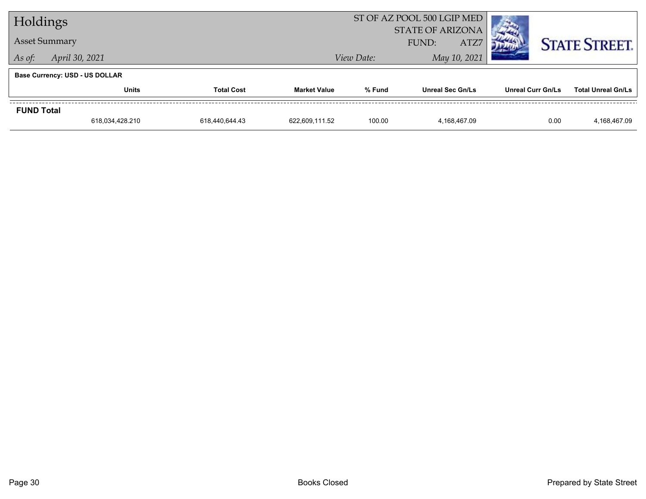| Holdings          |                                       |                   | ST OF AZ POOL 500 LGIP MED | <b>The State of State</b> |                                          |                   |                           |  |
|-------------------|---------------------------------------|-------------------|----------------------------|---------------------------|------------------------------------------|-------------------|---------------------------|--|
|                   | <b>Asset Summary</b>                  |                   |                            |                           | <b>STATE OF ARIZONA</b><br>ATZ7<br>FUND: |                   | <b>STATE STREET.</b>      |  |
| As of:            | April 30, 2021                        |                   | View Date:                 | May 10, 2021              |                                          |                   |                           |  |
|                   | <b>Base Currency: USD - US DOLLAR</b> |                   |                            |                           |                                          |                   |                           |  |
|                   | <b>Units</b>                          | <b>Total Cost</b> | <b>Market Value</b>        | % Fund                    | <b>Unreal Sec Gn/Ls</b>                  | Unreal Curr Gn/Ls | <b>Total Unreal Gn/Ls</b> |  |
| <b>FUND Total</b> |                                       |                   |                            |                           |                                          |                   |                           |  |
|                   | 618,034,428.210                       | 618,440,644.43    | 622.609.111.52             | 100.00                    | 4.168.467.09                             | 0.00              | 4,168,467.09              |  |